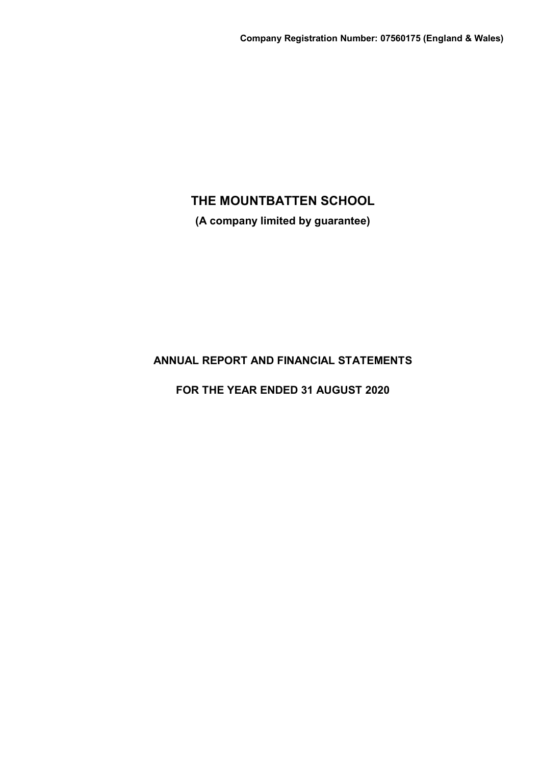**(A company limited by guarantee)**

# **ANNUAL REPORT AND FINANCIAL STATEMENTS**

**FOR THE YEAR ENDED 31 AUGUST 2020**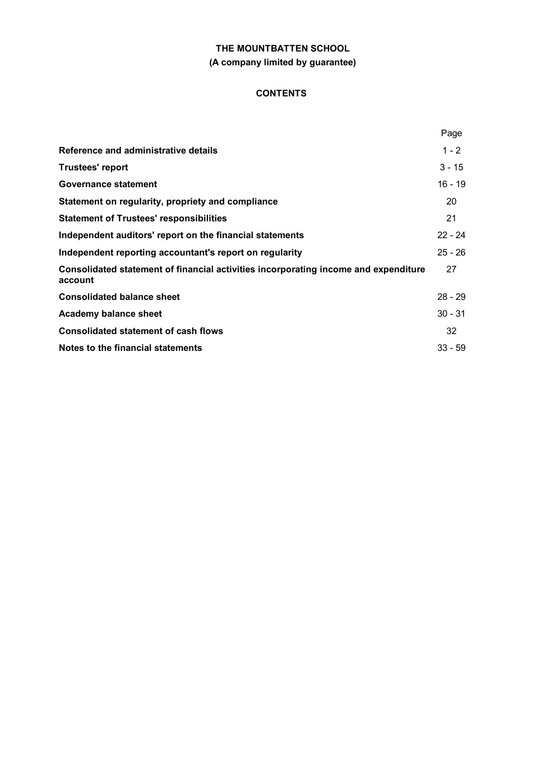# **THE MOUNTBATTEN SCHOOL (A company limited by guarantee)**

# **CONTENTS**

|                                                                                                | Page      |
|------------------------------------------------------------------------------------------------|-----------|
| Reference and administrative details                                                           | $1 - 2$   |
| <b>Trustees' report</b>                                                                        | $3 - 15$  |
| Governance statement                                                                           | $16 - 19$ |
| Statement on regularity, propriety and compliance                                              | 20        |
| <b>Statement of Trustees' responsibilities</b>                                                 | 21        |
| Independent auditors' report on the financial statements                                       | $22 - 24$ |
| Independent reporting accountant's report on regularity                                        | $25 - 26$ |
| Consolidated statement of financial activities incorporating income and expenditure<br>account | 27        |
| <b>Consolidated balance sheet</b>                                                              | $28 - 29$ |
| <b>Academy balance sheet</b>                                                                   | $30 - 31$ |
| <b>Consolidated statement of cash flows</b>                                                    | 32        |
| Notes to the financial statements                                                              | $33 - 59$ |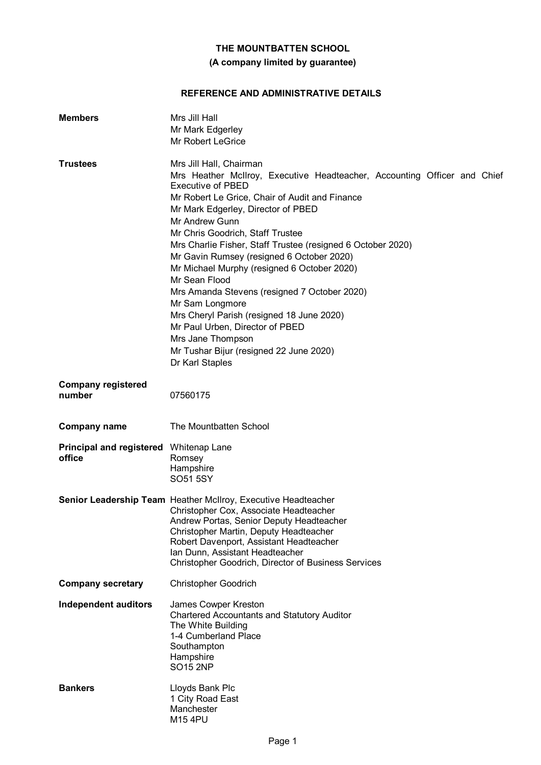# **(A company limited by guarantee)**

# **REFERENCE AND ADMINISTRATIVE DETAILS**

| <b>Members</b>                                   | Mrs Jill Hall<br>Mr Mark Edgerley<br><b>Mr Robert LeGrice</b>                                                                                                                                                                                                                                                                                                                                                                                                                                                                                                                                                                                                                                   |
|--------------------------------------------------|-------------------------------------------------------------------------------------------------------------------------------------------------------------------------------------------------------------------------------------------------------------------------------------------------------------------------------------------------------------------------------------------------------------------------------------------------------------------------------------------------------------------------------------------------------------------------------------------------------------------------------------------------------------------------------------------------|
| <b>Trustees</b>                                  | Mrs Jill Hall, Chairman<br>Mrs Heather McIlroy, Executive Headteacher, Accounting Officer and Chief<br><b>Executive of PBED</b><br>Mr Robert Le Grice, Chair of Audit and Finance<br>Mr Mark Edgerley, Director of PBED<br>Mr Andrew Gunn<br>Mr Chris Goodrich, Staff Trustee<br>Mrs Charlie Fisher, Staff Trustee (resigned 6 October 2020)<br>Mr Gavin Rumsey (resigned 6 October 2020)<br>Mr Michael Murphy (resigned 6 October 2020)<br>Mr Sean Flood<br>Mrs Amanda Stevens (resigned 7 October 2020)<br>Mr Sam Longmore<br>Mrs Cheryl Parish (resigned 18 June 2020)<br>Mr Paul Urben, Director of PBED<br>Mrs Jane Thompson<br>Mr Tushar Bijur (resigned 22 June 2020)<br>Dr Karl Staples |
| <b>Company registered</b><br>number              | 07560175                                                                                                                                                                                                                                                                                                                                                                                                                                                                                                                                                                                                                                                                                        |
| <b>Company name</b>                              | The Mountbatten School                                                                                                                                                                                                                                                                                                                                                                                                                                                                                                                                                                                                                                                                          |
| Principal and registered Whitenap Lane<br>office | Romsey<br>Hampshire<br>SO51 5SY                                                                                                                                                                                                                                                                                                                                                                                                                                                                                                                                                                                                                                                                 |
|                                                  | Senior Leadership Team Heather McIlroy, Executive Headteacher<br>Christopher Cox, Associate Headteacher<br>Andrew Portas, Senior Deputy Headteacher<br>Christopher Martin, Deputy Headteacher<br>Robert Davenport, Assistant Headteacher<br>Ian Dunn, Assistant Headteacher<br>Christopher Goodrich, Director of Business Services                                                                                                                                                                                                                                                                                                                                                              |
| <b>Company secretary</b>                         | <b>Christopher Goodrich</b>                                                                                                                                                                                                                                                                                                                                                                                                                                                                                                                                                                                                                                                                     |
| Independent auditors                             | James Cowper Kreston<br><b>Chartered Accountants and Statutory Auditor</b><br>The White Building<br>1-4 Cumberland Place<br>Southampton<br>Hampshire<br><b>SO15 2NP</b>                                                                                                                                                                                                                                                                                                                                                                                                                                                                                                                         |
| <b>Bankers</b>                                   | Lloyds Bank Plc<br>1 City Road East<br>Manchester<br>M15 4PU                                                                                                                                                                                                                                                                                                                                                                                                                                                                                                                                                                                                                                    |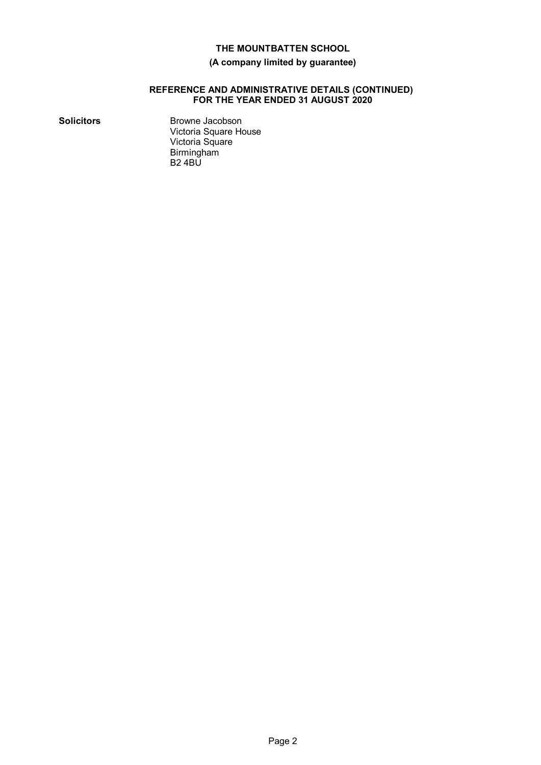### **(A company limited by guarantee)**

#### **REFERENCE AND ADMINISTRATIVE DETAILS (CONTINUED) FOR THE YEAR ENDED 31 AUGUST 2020**

**Solicitors** Browne Jacobson Victoria Square House Victoria Square Birmingham B2 4BU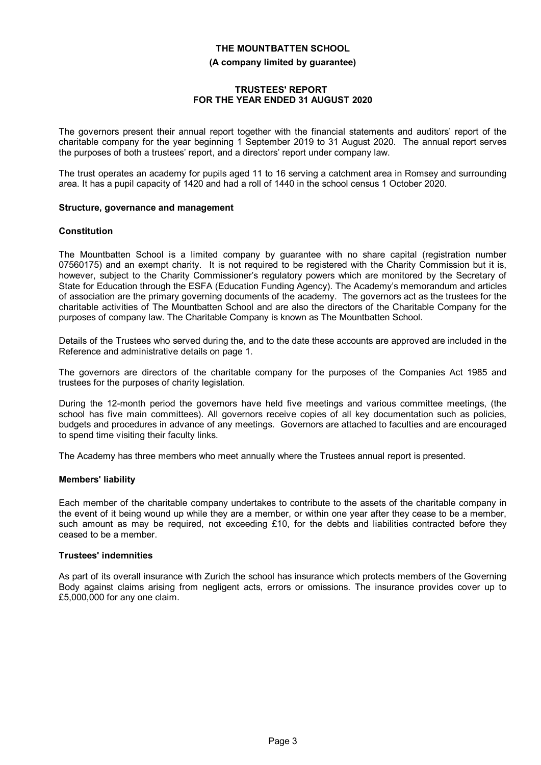# **THE MOUNTBATTEN SCHOOL (A company limited by guarantee)**

#### **TRUSTEES' REPORT FOR THE YEAR ENDED 31 AUGUST 2020**

The governors present their annual report together with the financial statements and auditors' report of the charitable company for the year beginning 1 September 2019 to 31 August 2020. The annual report serves the purposes of both a trustees' report, and a directors' report under company law.

The trust operates an academy for pupils aged 11 to 16 serving a catchment area in Romsey and surrounding area. It has a pupil capacity of 1420 and had a roll of 1440 in the school census 1 October 2020.

#### **Structure, governance and management**

#### **Constitution**

The Mountbatten School is a limited company by guarantee with no share capital (registration number 07560175) and an exempt charity. It is not required to be registered with the Charity Commission but it is, however, subject to the Charity Commissioner's regulatory powers which are monitored by the Secretary of State for Education through the ESFA (Education Funding Agency). The Academy's memorandum and articles of association are the primary governing documents of the academy. The governors act as the trustees for the charitable activities of The Mountbatten School and are also the directors of the Charitable Company for the purposes of company law. The Charitable Company is known as The Mountbatten School.

Details of the Trustees who served during the, and to the date these accounts are approved are included in the Reference and administrative details on page 1.

The governors are directors of the charitable company for the purposes of the Companies Act 1985 and trustees for the purposes of charity legislation.

During the 12-month period the governors have held five meetings and various committee meetings, (the school has five main committees). All governors receive copies of all key documentation such as policies, budgets and procedures in advance of any meetings. Governors are attached to faculties and are encouraged to spend time visiting their faculty links.

The Academy has three members who meet annually where the Trustees annual report is presented.

#### **Members' liability**

Each member of the charitable company undertakes to contribute to the assets of the charitable company in the event of it being wound up while they are a member, or within one year after they cease to be a member, such amount as may be required, not exceeding £10, for the debts and liabilities contracted before they ceased to be a member.

#### **Trustees' indemnities**

As part of its overall insurance with Zurich the school has insurance which protects members of the Governing Body against claims arising from negligent acts, errors or omissions. The insurance provides cover up to £5,000,000 for any one claim.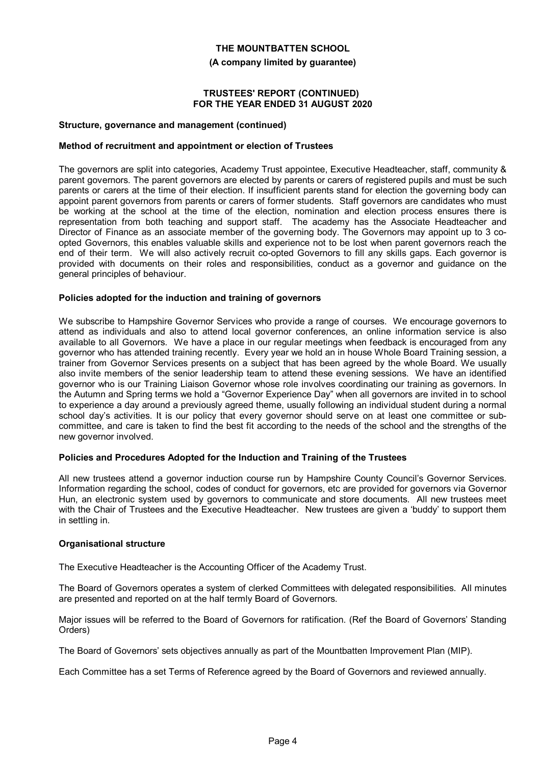**(A company limited by guarantee)**

#### **TRUSTEES' REPORT (CONTINUED) FOR THE YEAR ENDED 31 AUGUST 2020**

#### **Structure, governance and management (continued)**

#### **Method of recruitment and appointment or election of Trustees**

The governors are split into categories, Academy Trust appointee, Executive Headteacher, staff, community & parent governors. The parent governors are elected by parents or carers of registered pupils and must be such parents or carers at the time of their election. If insufficient parents stand for election the governing body can appoint parent governors from parents or carers of former students. Staff governors are candidates who must be working at the school at the time of the election, nomination and election process ensures there is representation from both teaching and support staff. The academy has the Associate Headteacher and Director of Finance as an associate member of the governing body. The Governors may appoint up to 3 coopted Governors, this enables valuable skills and experience not to be lost when parent governors reach the end of their term. We will also actively recruit co-opted Governors to fill any skills gaps. Each governor is provided with documents on their roles and responsibilities, conduct as a governor and guidance on the general principles of behaviour.

#### **Policies adopted for the induction and training of governors**

We subscribe to Hampshire Governor Services who provide a range of courses. We encourage governors to attend as individuals and also to attend local governor conferences, an online information service is also available to all Governors. We have a place in our regular meetings when feedback is encouraged from any governor who has attended training recently. Every year we hold an in house Whole Board Training session, a trainer from Governor Services presents on a subject that has been agreed by the whole Board. We usually also invite members of the senior leadership team to attend these evening sessions. We have an identified governor who is our Training Liaison Governor whose role involves coordinating our training as governors. In the Autumn and Spring terms we hold a "Governor Experience Day" when all governors are invited in to school to experience a day around a previously agreed theme, usually following an individual student during a normal school day's activities. It is our policy that every governor should serve on at least one committee or subcommittee, and care is taken to find the best fit according to the needs of the school and the strengths of the new governor involved.

#### **Policies and Procedures Adopted for the Induction and Training of the Trustees**

All new trustees attend a governor induction course run by Hampshire County Council's Governor Services. Information regarding the school, codes of conduct for governors, etc are provided for governors via Governor Hun, an electronic system used by governors to communicate and store documents. All new trustees meet with the Chair of Trustees and the Executive Headteacher. New trustees are given a 'buddy' to support them in settling in.

#### **Organisational structure**

The Executive Headteacher is the Accounting Officer of the Academy Trust.

The Board of Governors operates a system of clerked Committees with delegated responsibilities. All minutes are presented and reported on at the half termly Board of Governors.

Major issues will be referred to the Board of Governors for ratification. (Ref the Board of Governors' Standing Orders)

The Board of Governors' sets objectives annually as part of the Mountbatten Improvement Plan (MIP).

Each Committee has a set Terms of Reference agreed by the Board of Governors and reviewed annually.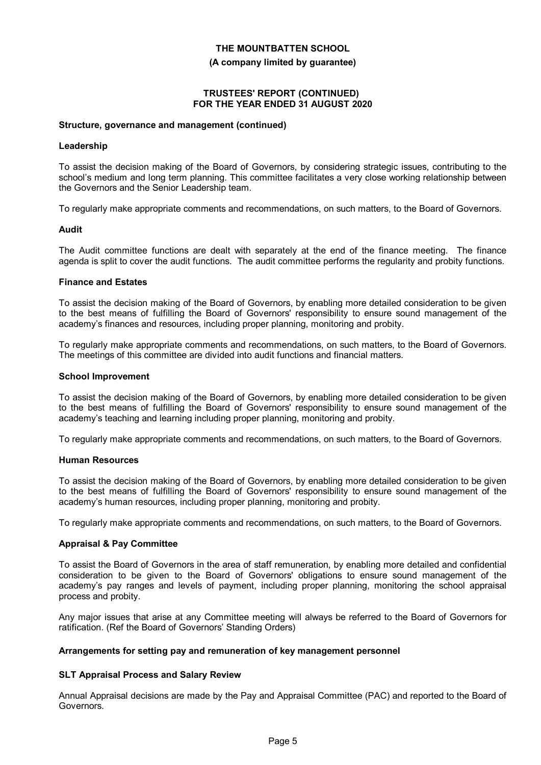**(A company limited by guarantee)**

#### **TRUSTEES' REPORT (CONTINUED) FOR THE YEAR ENDED 31 AUGUST 2020**

#### **Structure, governance and management (continued)**

#### **Leadership**

To assist the decision making of the Board of Governors, by considering strategic issues, contributing to the school's medium and long term planning. This committee facilitates a very close working relationship between the Governors and the Senior Leadership team.

To regularly make appropriate comments and recommendations, on such matters, to the Board of Governors.

#### **Audit**

The Audit committee functions are dealt with separately at the end of the finance meeting. The finance agenda is split to cover the audit functions. The audit committee performs the regularity and probity functions.

#### **Finance and Estates**

To assist the decision making of the Board of Governors, by enabling more detailed consideration to be given to the best means of fulfilling the Board of Governors' responsibility to ensure sound management of the academy's finances and resources, including proper planning, monitoring and probity.

To regularly make appropriate comments and recommendations, on such matters, to the Board of Governors. The meetings of this committee are divided into audit functions and financial matters.

#### **School Improvement**

To assist the decision making of the Board of Governors, by enabling more detailed consideration to be given to the best means of fulfilling the Board of Governors' responsibility to ensure sound management of the academy's teaching and learning including proper planning, monitoring and probity.

To regularly make appropriate comments and recommendations, on such matters, to the Board of Governors.

#### **Human Resources**

To assist the decision making of the Board of Governors, by enabling more detailed consideration to be given to the best means of fulfilling the Board of Governors' responsibility to ensure sound management of the academy's human resources, including proper planning, monitoring and probity.

To regularly make appropriate comments and recommendations, on such matters, to the Board of Governors.

#### **Appraisal & Pay Committee**

To assist the Board of Governors in the area of staff remuneration, by enabling more detailed and confidential consideration to be given to the Board of Governors' obligations to ensure sound management of the academy's pay ranges and levels of payment, including proper planning, monitoring the school appraisal process and probity.

Any major issues that arise at any Committee meeting will always be referred to the Board of Governors for ratification. (Ref the Board of Governors' Standing Orders)

#### **Arrangements for setting pay and remuneration of key management personnel**

#### **SLT Appraisal Process and Salary Review**

Annual Appraisal decisions are made by the Pay and Appraisal Committee (PAC) and reported to the Board of Governors.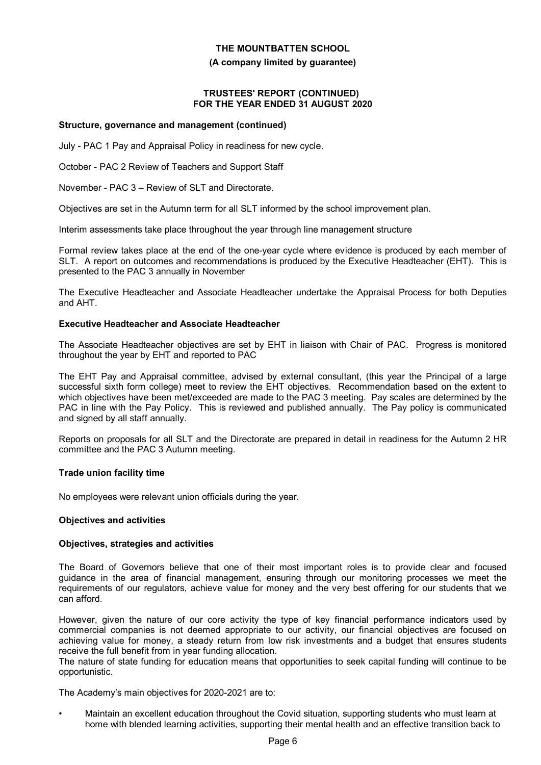#### **(A company limited by guarantee)**

#### **TRUSTEES' REPORT (CONTINUED) FOR THE YEAR ENDED 31 AUGUST 2020**

#### **Structure, governance and management (continued)**

July - PAC 1 Pay and Appraisal Policy in readiness for new cycle.

October - PAC 2 Review of Teachers and Support Staff

November - PAC 3 – Review of SLT and Directorate.

Objectives are set in the Autumn term for all SLT informed by the school improvement plan.

Interim assessments take place throughout the year through line management structure

Formal review takes place at the end of the one-year cycle where evidence is produced by each member of SLT. A report on outcomes and recommendations is produced by the Executive Headteacher (EHT). This is presented to the PAC 3 annually in November

The Executive Headteacher and Associate Headteacher undertake the Appraisal Process for both Deputies and AHT.

#### **Executive Headteacher and Associate Headteacher**

The Associate Headteacher objectives are set by EHT in liaison with Chair of PAC. Progress is monitored throughout the year by EHT and reported to PAC

The EHT Pay and Appraisal committee, advised by external consultant, (this year the Principal of a large successful sixth form college) meet to review the EHT objectives. Recommendation based on the extent to which objectives have been met/exceeded are made to the PAC 3 meeting. Pay scales are determined by the PAC in line with the Pay Policy. This is reviewed and published annually. The Pay policy is communicated and signed by all staff annually.

Reports on proposals for all SLT and the Directorate are prepared in detail in readiness for the Autumn 2 HR committee and the PAC 3 Autumn meeting.

#### **Trade union facility time**

No employees were relevant union officials during the year.

#### **Objectives and activities**

#### **Objectives, strategies and activities**

The Board of Governors believe that one of their most important roles is to provide clear and focused guidance in the area of financial management, ensuring through our monitoring processes we meet the requirements of our regulators, achieve value for money and the very best offering for our students that we can afford.

However, given the nature of our core activity the type of key financial performance indicators used by commercial companies is not deemed appropriate to our activity, our financial objectives are focused on achieving value for money, a steady return from low risk investments and a budget that ensures students receive the full benefit from in year funding allocation.

The nature of state funding for education means that opportunities to seek capital funding will continue to be opportunistic.

The Academy's main objectives for 2020-2021 are to:

• Maintain an excellent education throughout the Covid situation, supporting students who must learn at home with blended learning activities, supporting their mental health and an effective transition back to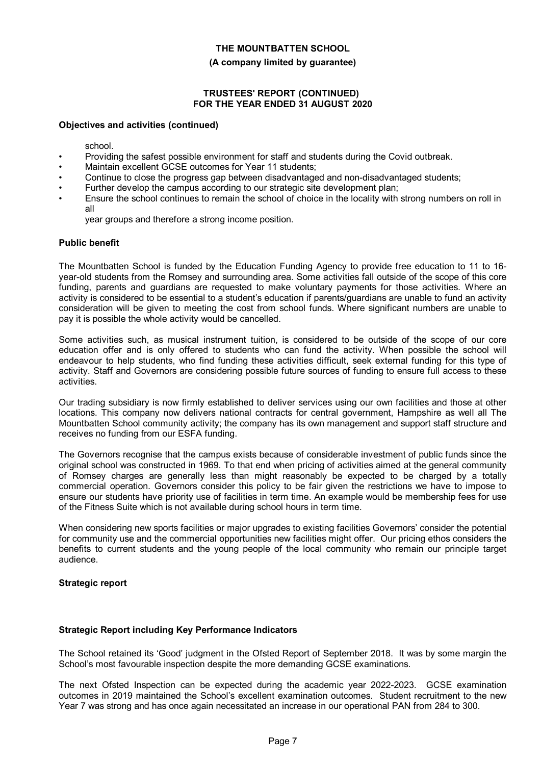#### **(A company limited by guarantee)**

#### **TRUSTEES' REPORT (CONTINUED) FOR THE YEAR ENDED 31 AUGUST 2020**

#### **Objectives and activities (continued)**

school.

- Providing the safest possible environment for staff and students during the Covid outbreak.
- Maintain excellent GCSE outcomes for Year 11 students;
- Continue to close the progress gap between disadvantaged and non-disadvantaged students;
	- Further develop the campus according to our strategic site development plan;
- Ensure the school continues to remain the school of choice in the locality with strong numbers on roll in all

year groups and therefore a strong income position.

#### **Public benefit**

The Mountbatten School is funded by the Education Funding Agency to provide free education to 11 to 16 year-old students from the Romsey and surrounding area. Some activities fall outside of the scope of this core funding, parents and guardians are requested to make voluntary payments for those activities. Where an activity is considered to be essential to a student's education if parents/guardians are unable to fund an activity consideration will be given to meeting the cost from school funds. Where significant numbers are unable to pay it is possible the whole activity would be cancelled.

Some activities such, as musical instrument tuition, is considered to be outside of the scope of our core education offer and is only offered to students who can fund the activity. When possible the school will endeavour to help students, who find funding these activities difficult, seek external funding for this type of activity. Staff and Governors are considering possible future sources of funding to ensure full access to these activities.

Our trading subsidiary is now firmly established to deliver services using our own facilities and those at other locations. This company now delivers national contracts for central government, Hampshire as well all The Mountbatten School community activity; the company has its own management and support staff structure and receives no funding from our ESFA funding.

The Governors recognise that the campus exists because of considerable investment of public funds since the original school was constructed in 1969. To that end when pricing of activities aimed at the general community of Romsey charges are generally less than might reasonably be expected to be charged by a totally commercial operation. Governors consider this policy to be fair given the restrictions we have to impose to ensure our students have priority use of facilities in term time. An example would be membership fees for use of the Fitness Suite which is not available during school hours in term time.

When considering new sports facilities or major upgrades to existing facilities Governors' consider the potential for community use and the commercial opportunities new facilities might offer. Our pricing ethos considers the benefits to current students and the young people of the local community who remain our principle target audience.

#### **Strategic report**

#### **Strategic Report including Key Performance Indicators**

The School retained its 'Good' judgment in the Ofsted Report of September 2018. It was by some margin the School's most favourable inspection despite the more demanding GCSE examinations.

The next Ofsted Inspection can be expected during the academic year 2022-2023. GCSE examination outcomes in 2019 maintained the School's excellent examination outcomes. Student recruitment to the new Year 7 was strong and has once again necessitated an increase in our operational PAN from 284 to 300.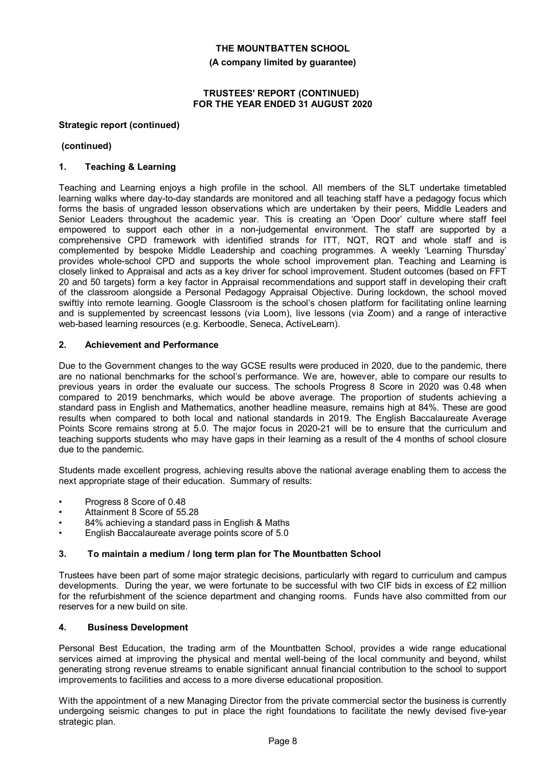**(A company limited by guarantee)**

#### **TRUSTEES' REPORT (CONTINUED) FOR THE YEAR ENDED 31 AUGUST 2020**

#### **Strategic report (continued)**

#### **(continued)**

#### **1. Teaching & Learning**

Teaching and Learning enjoys a high profile in the school. All members of the SLT undertake timetabled learning walks where day-to-day standards are monitored and all teaching staff have a pedagogy focus which forms the basis of ungraded lesson observations which are undertaken by their peers, Middle Leaders and Senior Leaders throughout the academic year. This is creating an 'Open Door' culture where staff feel empowered to support each other in a non-judgemental environment. The staff are supported by a comprehensive CPD framework with identified strands for ITT, NQT, RQT and whole staff and is complemented by bespoke Middle Leadership and coaching programmes. A weekly 'Learning Thursday' provides whole-school CPD and supports the whole school improvement plan. Teaching and Learning is closely linked to Appraisal and acts as a key driver for school improvement. Student outcomes (based on FFT 20 and 50 targets) form a key factor in Appraisal recommendations and support staff in developing their craft of the classroom alongside a Personal Pedagogy Appraisal Objective. During lockdown, the school moved swiftly into remote learning. Google Classroom is the school's chosen platform for facilitating online learning and is supplemented by screencast lessons (via Loom), live lessons (via Zoom) and a range of interactive web-based learning resources (e.g. Kerboodle, Seneca, ActiveLearn).

#### **2. Achievement and Performance**

Due to the Government changes to the way GCSE results were produced in 2020, due to the pandemic, there are no national benchmarks for the school's performance. We are, however, able to compare our results to previous years in order the evaluate our success. The schools Progress 8 Score in 2020 was 0.48 when compared to 2019 benchmarks, which would be above average. The proportion of students achieving a standard pass in English and Mathematics, another headline measure, remains high at 84%. These are good results when compared to both local and national standards in 2019. The English Baccalaureate Average Points Score remains strong at 5.0. The major focus in 2020-21 will be to ensure that the curriculum and teaching supports students who may have gaps in their learning as a result of the 4 months of school closure due to the pandemic.

Students made excellent progress, achieving results above the national average enabling them to access the next appropriate stage of their education. Summary of results:

- Progress 8 Score of 0.48
- Attainment 8 Score of 55.28
- 84% achieving a standard pass in English & Maths
- English Baccalaureate average points score of 5.0

#### **3. To maintain a medium / long term plan for The Mountbatten School**

Trustees have been part of some major strategic decisions, particularly with regard to curriculum and campus developments. During the year, we were fortunate to be successful with two CIF bids in excess of £2 million for the refurbishment of the science department and changing rooms. Funds have also committed from our reserves for a new build on site.

#### **4. Business Development**

Personal Best Education, the trading arm of the Mountbatten School, provides a wide range educational services aimed at improving the physical and mental well-being of the local community and beyond, whilst generating strong revenue streams to enable significant annual financial contribution to the school to support improvements to facilities and access to a more diverse educational proposition.

With the appointment of a new Managing Director from the private commercial sector the business is currently undergoing seismic changes to put in place the right foundations to facilitate the newly devised five-year strategic plan.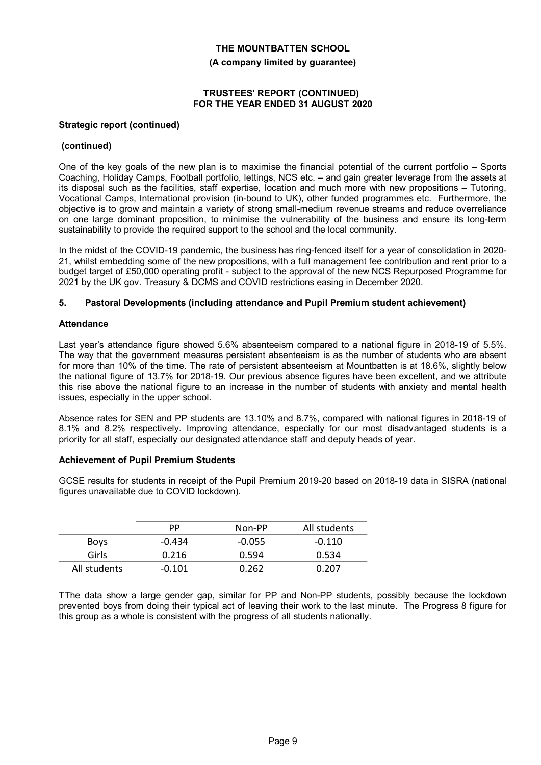# **THE MOUNTBATTEN SCHOOL (A company limited by guarantee)**

#### **TRUSTEES' REPORT (CONTINUED) FOR THE YEAR ENDED 31 AUGUST 2020**

#### **Strategic report (continued)**

#### **(continued)**

One of the key goals of the new plan is to maximise the financial potential of the current portfolio – Sports Coaching, Holiday Camps, Football portfolio, lettings, NCS etc. – and gain greater leverage from the assets at its disposal such as the facilities, staff expertise, location and much more with new propositions – Tutoring, Vocational Camps, International provision (in-bound to UK), other funded programmes etc. Furthermore, the objective is to grow and maintain a variety of strong small-medium revenue streams and reduce overreliance on one large dominant proposition, to minimise the vulnerability of the business and ensure its long-term sustainability to provide the required support to the school and the local community.

In the midst of the COVID-19 pandemic, the business has ring-fenced itself for a year of consolidation in 2020- 21, whilst embedding some of the new propositions, with a full management fee contribution and rent prior to a budget target of £50,000 operating profit - subject to the approval of the new NCS Repurposed Programme for 2021 by the UK gov. Treasury & DCMS and COVID restrictions easing in December 2020.

#### **5. Pastoral Developments (including attendance and Pupil Premium student achievement)**

#### **Attendance**

Last year's attendance figure showed 5.6% absenteeism compared to a national figure in 2018-19 of 5.5%. The way that the government measures persistent absenteeism is as the number of students who are absent for more than 10% of the time. The rate of persistent absenteeism at Mountbatten is at 18.6%, slightly below the national figure of 13.7% for 2018-19. Our previous absence figures have been excellent, and we attribute this rise above the national figure to an increase in the number of students with anxiety and mental health issues, especially in the upper school.

Absence rates for SEN and PP students are 13.10% and 8.7%, compared with national figures in 2018-19 of 8.1% and 8.2% respectively. Improving attendance, especially for our most disadvantaged students is a priority for all staff, especially our designated attendance staff and deputy heads of year.

#### **Achievement of Pupil Premium Students**

GCSE results for students in receipt of the Pupil Premium 2019-20 based on 2018-19 data in SISRA (national figures unavailable due to COVID lockdown).

|              | РP       | Non-PP   | All students |
|--------------|----------|----------|--------------|
| <b>Boys</b>  | $-0.434$ | $-0.055$ | $-0.110$     |
| Girls        | 0.216    | 0.594    | 0.534        |
| All students | -0.101   | 0.262    | በ ንበ7        |

TThe data show a large gender gap, similar for PP and Non-PP students, possibly because the lockdown prevented boys from doing their typical act of leaving their work to the last minute. The Progress 8 figure for this group as a whole is consistent with the progress of all students nationally.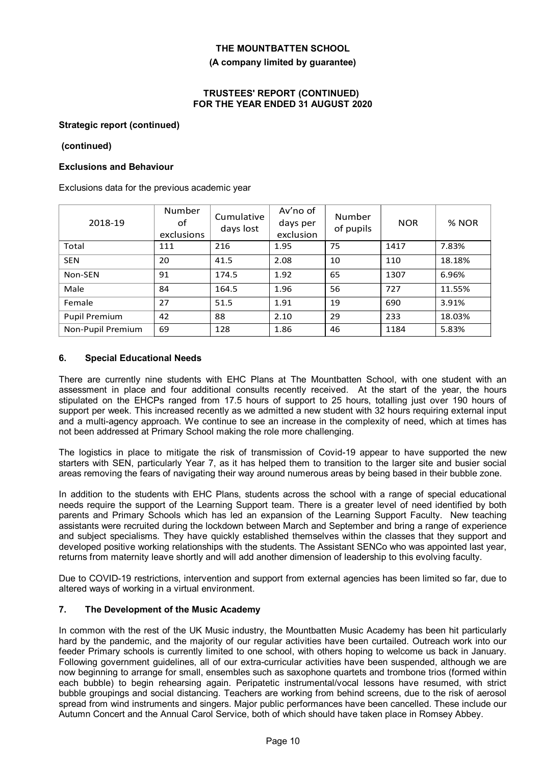#### **(A company limited by guarantee)**

#### **TRUSTEES' REPORT (CONTINUED) FOR THE YEAR ENDED 31 AUGUST 2020**

#### **Strategic report (continued)**

#### **(continued)**

#### **Exclusions and Behaviour**

Exclusions data for the previous academic year

| 2018-19              | Number<br>οf<br>exclusions | Cumulative<br>days lost | Av'no of<br>days per<br>exclusion | <b>Number</b><br>of pupils | <b>NOR</b> | % NOR  |
|----------------------|----------------------------|-------------------------|-----------------------------------|----------------------------|------------|--------|
| Total                | 111                        | 216                     | 1.95                              | 75                         | 1417       | 7.83%  |
| <b>SEN</b>           | 20                         | 41.5                    | 2.08                              | 10                         | 110        | 18.18% |
| Non-SEN              | 91                         | 174.5                   | 1.92                              | 65                         | 1307       | 6.96%  |
| Male                 | 84                         | 164.5                   | 1.96                              | 56                         | 727        | 11.55% |
| Female               | 27                         | 51.5                    | 1.91                              | 19                         | 690        | 3.91%  |
| <b>Pupil Premium</b> | 42                         | 88                      | 2.10                              | 29                         | 233        | 18.03% |
| Non-Pupil Premium    | 69                         | 128                     | 1.86                              | 46                         | 1184       | 5.83%  |

#### **6. Special Educational Needs**

There are currently nine students with EHC Plans at The Mountbatten School, with one student with an assessment in place and four additional consults recently received. At the start of the year, the hours stipulated on the EHCPs ranged from 17.5 hours of support to 25 hours, totalling just over 190 hours of support per week. This increased recently as we admitted a new student with 32 hours requiring external input and a multi-agency approach. We continue to see an increase in the complexity of need, which at times has not been addressed at Primary School making the role more challenging.

The logistics in place to mitigate the risk of transmission of Covid-19 appear to have supported the new starters with SEN, particularly Year 7, as it has helped them to transition to the larger site and busier social areas removing the fears of navigating their way around numerous areas by being based in their bubble zone.

In addition to the students with EHC Plans, students across the school with a range of special educational needs require the support of the Learning Support team. There is a greater level of need identified by both parents and Primary Schools which has led an expansion of the Learning Support Faculty. New teaching assistants were recruited during the lockdown between March and September and bring a range of experience and subject specialisms. They have quickly established themselves within the classes that they support and developed positive working relationships with the students. The Assistant SENCo who was appointed last year, returns from maternity leave shortly and will add another dimension of leadership to this evolving faculty.

Due to COVID-19 restrictions, intervention and support from external agencies has been limited so far, due to altered ways of working in a virtual environment.

#### **7. The Development of the Music Academy**

In common with the rest of the UK Music industry, the Mountbatten Music Academy has been hit particularly hard by the pandemic, and the majority of our regular activities have been curtailed. Outreach work into our feeder Primary schools is currently limited to one school, with others hoping to welcome us back in January. Following government guidelines, all of our extra-curricular activities have been suspended, although we are now beginning to arrange for small, ensembles such as saxophone quartets and trombone trios (formed within each bubble) to begin rehearsing again. Peripatetic instrumental/vocal lessons have resumed, with strict bubble groupings and social distancing. Teachers are working from behind screens, due to the risk of aerosol spread from wind instruments and singers. Major public performances have been cancelled. These include our Autumn Concert and the Annual Carol Service, both of which should have taken place in Romsey Abbey.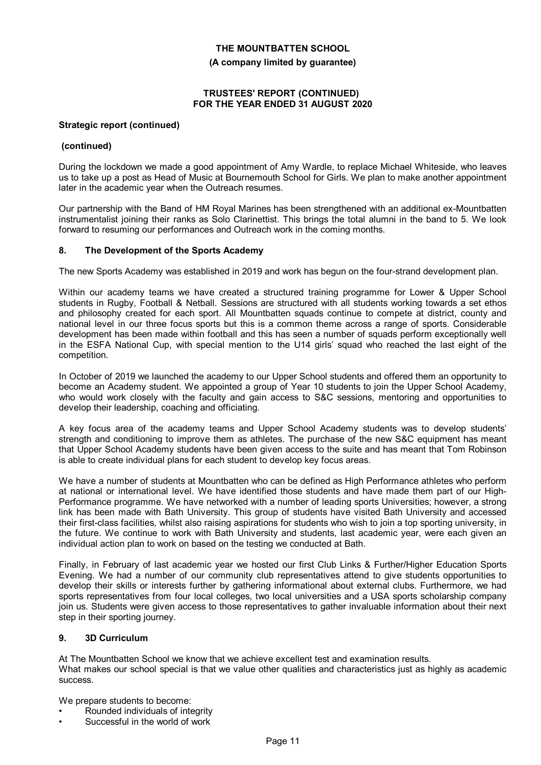**(A company limited by guarantee)**

#### **TRUSTEES' REPORT (CONTINUED) FOR THE YEAR ENDED 31 AUGUST 2020**

#### **Strategic report (continued)**

#### **(continued)**

During the lockdown we made a good appointment of Amy Wardle, to replace Michael Whiteside, who leaves us to take up a post as Head of Music at Bournemouth School for Girls. We plan to make another appointment later in the academic year when the Outreach resumes.

Our partnership with the Band of HM Royal Marines has been strengthened with an additional ex-Mountbatten instrumentalist joining their ranks as Solo Clarinettist. This brings the total alumni in the band to 5. We look forward to resuming our performances and Outreach work in the coming months.

#### **8. The Development of the Sports Academy**

The new Sports Academy was established in 2019 and work has begun on the four-strand development plan.

Within our academy teams we have created a structured training programme for Lower & Upper School students in Rugby, Football & Netball. Sessions are structured with all students working towards a set ethos and philosophy created for each sport. All Mountbatten squads continue to compete at district, county and national level in our three focus sports but this is a common theme across a range of sports. Considerable development has been made within football and this has seen a number of squads perform exceptionally well in the ESFA National Cup, with special mention to the U14 girls' squad who reached the last eight of the competition.

In October of 2019 we launched the academy to our Upper School students and offered them an opportunity to become an Academy student. We appointed a group of Year 10 students to join the Upper School Academy, who would work closely with the faculty and gain access to S&C sessions, mentoring and opportunities to develop their leadership, coaching and officiating.

A key focus area of the academy teams and Upper School Academy students was to develop students' strength and conditioning to improve them as athletes. The purchase of the new S&C equipment has meant that Upper School Academy students have been given access to the suite and has meant that Tom Robinson is able to create individual plans for each student to develop key focus areas.

We have a number of students at Mountbatten who can be defined as High Performance athletes who perform at national or international level. We have identified those students and have made them part of our High-Performance programme. We have networked with a number of leading sports Universities; however, a strong link has been made with Bath University. This group of students have visited Bath University and accessed their first-class facilities, whilst also raising aspirations for students who wish to join a top sporting university, in the future. We continue to work with Bath University and students, last academic year, were each given an individual action plan to work on based on the testing we conducted at Bath.

Finally, in February of last academic year we hosted our first Club Links & Further/Higher Education Sports Evening. We had a number of our community club representatives attend to give students opportunities to develop their skills or interests further by gathering informational about external clubs. Furthermore, we had sports representatives from four local colleges, two local universities and a USA sports scholarship company join us. Students were given access to those representatives to gather invaluable information about their next step in their sporting journey.

#### **9. 3D Curriculum**

At The Mountbatten School we know that we achieve excellent test and examination results. What makes our school special is that we value other qualities and characteristics just as highly as academic success.

We prepare students to become:

- Rounded individuals of integrity
- Successful in the world of work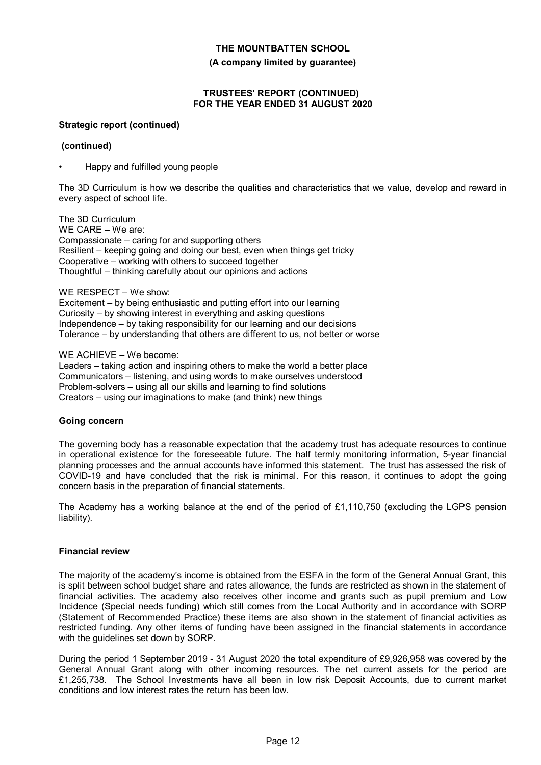**(A company limited by guarantee)**

#### **TRUSTEES' REPORT (CONTINUED) FOR THE YEAR ENDED 31 AUGUST 2020**

#### **Strategic report (continued)**

#### **(continued)**

• Happy and fulfilled young people

The 3D Curriculum is how we describe the qualities and characteristics that we value, develop and reward in every aspect of school life.

The 3D Curriculum WE CARE – We are: Compassionate – caring for and supporting others Resilient – keeping going and doing our best, even when things get tricky Cooperative – working with others to succeed together Thoughtful – thinking carefully about our opinions and actions

#### WE RESPECT – We show:

Excitement – by being enthusiastic and putting effort into our learning Curiosity – by showing interest in everything and asking questions Independence – by taking responsibility for our learning and our decisions Tolerance – by understanding that others are different to us, not better or worse

#### WE ACHIEVE – We become:

Leaders – taking action and inspiring others to make the world a better place Communicators – listening, and using words to make ourselves understood Problem-solvers – using all our skills and learning to find solutions Creators – using our imaginations to make (and think) new things

#### **Going concern**

The governing body has a reasonable expectation that the academy trust has adequate resources to continue in operational existence for the foreseeable future. The half termly monitoring information, 5-year financial planning processes and the annual accounts have informed this statement. The trust has assessed the risk of COVID-19 and have concluded that the risk is minimal. For this reason, it continues to adopt the going concern basis in the preparation of financial statements.

The Academy has a working balance at the end of the period of £1,110,750 (excluding the LGPS pension liability).

#### **Financial review**

The majority of the academy's income is obtained from the ESFA in the form of the General Annual Grant, this is split between school budget share and rates allowance, the funds are restricted as shown in the statement of financial activities. The academy also receives other income and grants such as pupil premium and Low Incidence (Special needs funding) which still comes from the Local Authority and in accordance with SORP (Statement of Recommended Practice) these items are also shown in the statement of financial activities as restricted funding. Any other items of funding have been assigned in the financial statements in accordance with the guidelines set down by SORP.

During the period 1 September 2019 - 31 August 2020 the total expenditure of £9,926,958 was covered by the General Annual Grant along with other incoming resources. The net current assets for the period are £1,255,738. The School Investments have all been in low risk Deposit Accounts, due to current market conditions and low interest rates the return has been low.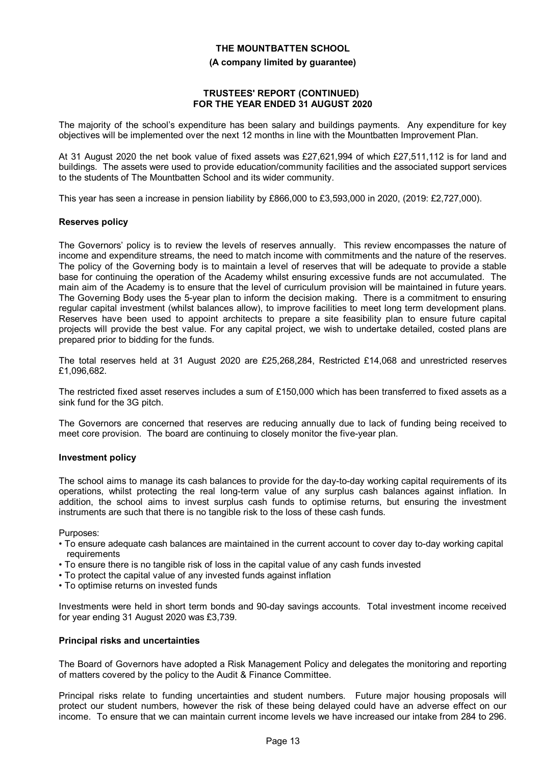#### **(A company limited by guarantee)**

#### **TRUSTEES' REPORT (CONTINUED) FOR THE YEAR ENDED 31 AUGUST 2020**

The majority of the school's expenditure has been salary and buildings payments. Any expenditure for key objectives will be implemented over the next 12 months in line with the Mountbatten Improvement Plan.

At 31 August 2020 the net book value of fixed assets was £27,621,994 of which £27,511,112 is for land and buildings. The assets were used to provide education/community facilities and the associated support services to the students of The Mountbatten School and its wider community.

This year has seen a increase in pension liability by £866,000 to £3,593,000 in 2020, (2019: £2,727,000).

#### **Reserves policy**

The Governors' policy is to review the levels of reserves annually. This review encompasses the nature of income and expenditure streams, the need to match income with commitments and the nature of the reserves. The policy of the Governing body is to maintain a level of reserves that will be adequate to provide a stable base for continuing the operation of the Academy whilst ensuring excessive funds are not accumulated. The main aim of the Academy is to ensure that the level of curriculum provision will be maintained in future years. The Governing Body uses the 5-year plan to inform the decision making. There is a commitment to ensuring regular capital investment (whilst balances allow), to improve facilities to meet long term development plans. Reserves have been used to appoint architects to prepare a site feasibility plan to ensure future capital projects will provide the best value. For any capital project, we wish to undertake detailed, costed plans are prepared prior to bidding for the funds.

The total reserves held at 31 August 2020 are £25,268,284, Restricted £14,068 and unrestricted reserves £1,096,682.

The restricted fixed asset reserves includes a sum of £150,000 which has been transferred to fixed assets as a sink fund for the 3G pitch.

The Governors are concerned that reserves are reducing annually due to lack of funding being received to meet core provision. The board are continuing to closely monitor the five-year plan.

#### **Investment policy**

The school aims to manage its cash balances to provide for the day-to-day working capital requirements of its operations, whilst protecting the real long-term value of any surplus cash balances against inflation. In addition, the school aims to invest surplus cash funds to optimise returns, but ensuring the investment instruments are such that there is no tangible risk to the loss of these cash funds.

Purposes:

- To ensure adequate cash balances are maintained in the current account to cover day to-day working capital requirements
- To ensure there is no tangible risk of loss in the capital value of any cash funds invested
- To protect the capital value of any invested funds against inflation
- To optimise returns on invested funds

Investments were held in short term bonds and 90-day savings accounts. Total investment income received for year ending 31 August 2020 was £3,739.

#### **Principal risks and uncertainties**

The Board of Governors have adopted a Risk Management Policy and delegates the monitoring and reporting of matters covered by the policy to the Audit & Finance Committee.

Principal risks relate to funding uncertainties and student numbers. Future major housing proposals will protect our student numbers, however the risk of these being delayed could have an adverse effect on our income. To ensure that we can maintain current income levels we have increased our intake from 284 to 296.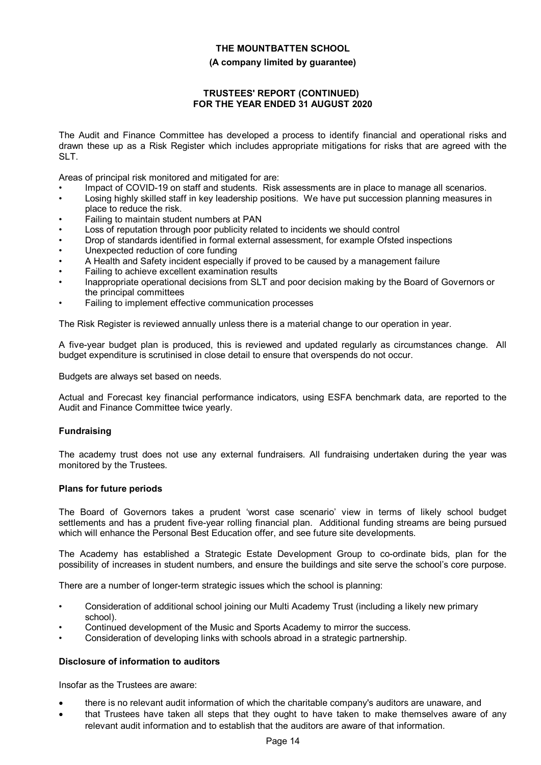#### **(A company limited by guarantee)**

#### **TRUSTEES' REPORT (CONTINUED) FOR THE YEAR ENDED 31 AUGUST 2020**

The Audit and Finance Committee has developed a process to identify financial and operational risks and drawn these up as a Risk Register which includes appropriate mitigations for risks that are agreed with the SLT.

Areas of principal risk monitored and mitigated for are:

- Impact of COVID-19 on staff and students. Risk assessments are in place to manage all scenarios.
- Losing highly skilled staff in key leadership positions. We have put succession planning measures in place to reduce the risk.
- Failing to maintain student numbers at PAN
- Loss of reputation through poor publicity related to incidents we should control
- Drop of standards identified in formal external assessment, for example Ofsted inspections
- Unexpected reduction of core funding
- A Health and Safety incident especially if proved to be caused by a management failure
- Failing to achieve excellent examination results
- Inappropriate operational decisions from SLT and poor decision making by the Board of Governors or the principal committees
- Failing to implement effective communication processes

The Risk Register is reviewed annually unless there is a material change to our operation in year.

A five-year budget plan is produced, this is reviewed and updated regularly as circumstances change. All budget expenditure is scrutinised in close detail to ensure that overspends do not occur.

Budgets are always set based on needs.

Actual and Forecast key financial performance indicators, using ESFA benchmark data, are reported to the Audit and Finance Committee twice yearly.

#### **Fundraising**

The academy trust does not use any external fundraisers. All fundraising undertaken during the year was monitored by the Trustees.

#### **Plans for future periods**

The Board of Governors takes a prudent 'worst case scenario' view in terms of likely school budget settlements and has a prudent five-year rolling financial plan. Additional funding streams are being pursued which will enhance the Personal Best Education offer, and see future site developments.

The Academy has established a Strategic Estate Development Group to co-ordinate bids, plan for the possibility of increases in student numbers, and ensure the buildings and site serve the school's core purpose.

There are a number of longer-term strategic issues which the school is planning:

- Consideration of additional school joining our Multi Academy Trust (including a likely new primary school).
- Continued development of the Music and Sports Academy to mirror the success.
- Consideration of developing links with schools abroad in a strategic partnership.

#### **Disclosure of information to auditors**

Insofar as the Trustees are aware:

- there is no relevant audit information of which the charitable company's auditors are unaware, and
- that Trustees have taken all steps that they ought to have taken to make themselves aware of any relevant audit information and to establish that the auditors are aware of that information.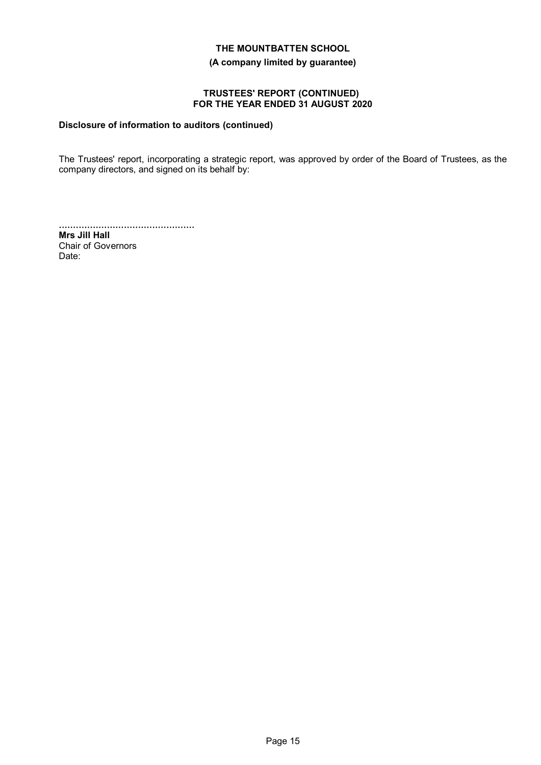**(A company limited by guarantee)**

#### **TRUSTEES' REPORT (CONTINUED) FOR THE YEAR ENDED 31 AUGUST 2020**

#### **Disclosure of information to auditors (continued)**

The Trustees' report, incorporating a strategic report, was approved by order of the Board of Trustees, as the company directors, and signed on its behalf by:

................................................ **Mrs Jill Hall** Chair of Governors Date: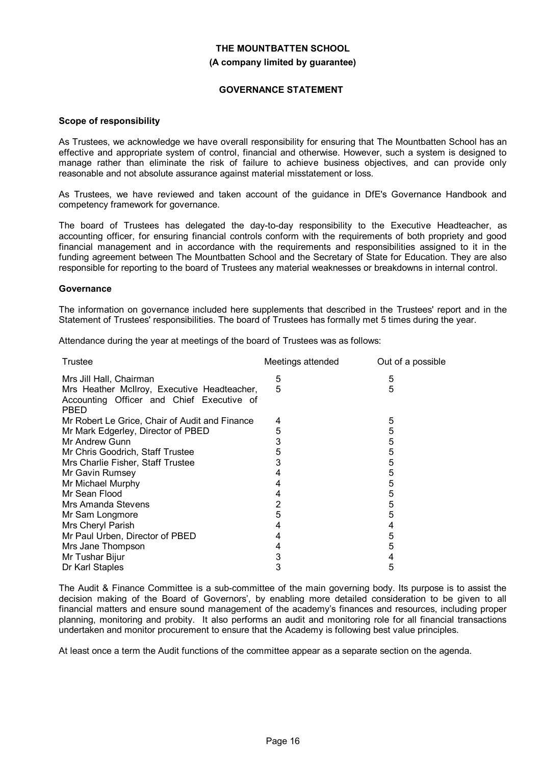# **THE MOUNTBATTEN SCHOOL (A company limited by guarantee)**

#### **GOVERNANCE STATEMENT**

#### **Scope of responsibility**

As Trustees, we acknowledge we have overall responsibility for ensuring that The Mountbatten School has an effective and appropriate system of control, financial and otherwise. However, such a system is designed to manage rather than eliminate the risk of failure to achieve business objectives, and can provide only reasonable and not absolute assurance against material misstatement or loss.

As Trustees, we have reviewed and taken account of the guidance in DfE's Governance Handbook and competency framework for governance.

The board of Trustees has delegated the day-to-day responsibility to the Executive Headteacher, as accounting officer, for ensuring financial controls conform with the requirements of both propriety and good financial management and in accordance with the requirements and responsibilities assigned to it in the funding agreement between The Mountbatten School and the Secretary of State for Education. They are also responsible for reporting to the board of Trustees any material weaknesses or breakdowns in internal control.

#### **Governance**

The information on governance included here supplements that described in the Trustees' report and in the Statement of Trustees' responsibilities. The board of Trustees has formally met 5 times during the year.

Attendance during the year at meetings of the board of Trustees was as follows:

| Trustee                                                                                                 | Meetings attended | Out of a possible |
|---------------------------------------------------------------------------------------------------------|-------------------|-------------------|
| Mrs Jill Hall, Chairman                                                                                 | 5                 | 5                 |
| Mrs Heather McIlroy, Executive Headteacher,<br>Accounting Officer and Chief Executive of<br><b>PBED</b> | 5                 | 5                 |
| Mr Robert Le Grice, Chair of Audit and Finance                                                          | 4                 | 5                 |
| Mr Mark Edgerley, Director of PBED                                                                      | 5                 | 5                 |
| Mr Andrew Gunn                                                                                          | 3                 | 5                 |
| Mr Chris Goodrich, Staff Trustee                                                                        | 5                 | 5                 |
| Mrs Charlie Fisher, Staff Trustee                                                                       | 3                 | 5                 |
| Mr Gavin Rumsey                                                                                         | 4                 | 5                 |
| Mr Michael Murphy                                                                                       | 4                 | 5                 |
| Mr Sean Flood                                                                                           | 4                 | 5                 |
| Mrs Amanda Stevens                                                                                      | 2                 | 5                 |
| Mr Sam Longmore                                                                                         | 5                 | 5                 |
| Mrs Cheryl Parish                                                                                       | 4                 | 4                 |
| Mr Paul Urben, Director of PBED                                                                         | 4                 | 5                 |
| Mrs Jane Thompson                                                                                       | 4                 | 5                 |
| Mr Tushar Bijur                                                                                         | 3                 | 4                 |
| Dr Karl Staples                                                                                         | 3                 | 5                 |

The Audit & Finance Committee is a sub-committee of the main governing body. Its purpose is to assist the decision making of the Board of Governors', by enabling more detailed consideration to be given to all financial matters and ensure sound management of the academy's finances and resources, including proper planning, monitoring and probity. It also performs an audit and monitoring role for all financial transactions undertaken and monitor procurement to ensure that the Academy is following best value principles.

At least once a term the Audit functions of the committee appear as a separate section on the agenda.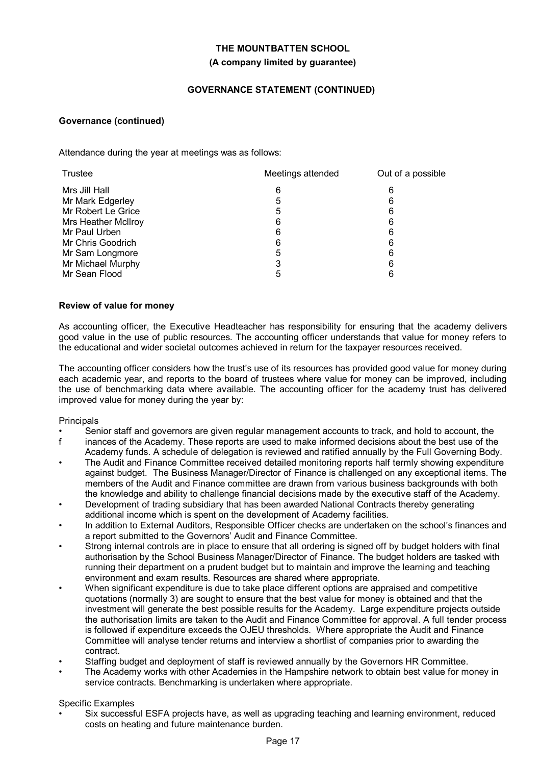# **THE MOUNTBATTEN SCHOOL (A company limited by guarantee)**

### **GOVERNANCE STATEMENT (CONTINUED)**

#### **Governance (continued)**

Attendance during the year at meetings was as follows:

| Trustee             | Meetings attended | Out of a possible |  |
|---------------------|-------------------|-------------------|--|
| Mrs Jill Hall       | 6                 | 6                 |  |
| Mr Mark Edgerley    | 5                 | 6                 |  |
| Mr Robert Le Grice  | 5                 | 6                 |  |
| Mrs Heather McIlroy | 6                 | 6                 |  |
| Mr Paul Urben       | 6                 | 6                 |  |
| Mr Chris Goodrich   | 6                 | 6                 |  |
| Mr Sam Longmore     | 5                 | 6                 |  |
| Mr Michael Murphy   | 3                 | 6                 |  |
| Mr Sean Flood       | 5                 | 6                 |  |

#### **Review of value for money**

As accounting officer, the Executive Headteacher has responsibility for ensuring that the academy delivers good value in the use of public resources. The accounting officer understands that value for money refers to the educational and wider societal outcomes achieved in return for the taxpayer resources received.

The accounting officer considers how the trust's use of its resources has provided good value for money during each academic year, and reports to the board of trustees where value for money can be improved, including the use of benchmarking data where available. The accounting officer for the academy trust has delivered improved value for money during the year by:

#### **Principals**

- Senior staff and governors are given regular management accounts to track, and hold to account, the straight in the Academy These reports are used to make informed decisions about the best use of the
- inances of the Academy. These reports are used to make informed decisions about the best use of the Academy funds. A schedule of delegation is reviewed and ratified annually by the Full Governing Body.
- The Audit and Finance Committee received detailed monitoring reports half termly showing expenditure against budget. The Business Manager/Director of Finance is challenged on any exceptional items. The members of the Audit and Finance committee are drawn from various business backgrounds with both the knowledge and ability to challenge financial decisions made by the executive staff of the Academy.
- Development of trading subsidiary that has been awarded National Contracts thereby generating additional income which is spent on the development of Academy facilities.
- In addition to External Auditors, Responsible Officer checks are undertaken on the school's finances and a report submitted to the Governors' Audit and Finance Committee.
- Strong internal controls are in place to ensure that all ordering is signed off by budget holders with final authorisation by the School Business Manager/Director of Finance. The budget holders are tasked with running their department on a prudent budget but to maintain and improve the learning and teaching environment and exam results. Resources are shared where appropriate.
- When significant expenditure is due to take place different options are appraised and competitive quotations (normally 3) are sought to ensure that the best value for money is obtained and that the investment will generate the best possible results for the Academy. Large expenditure projects outside the authorisation limits are taken to the Audit and Finance Committee for approval. A full tender process is followed if expenditure exceeds the OJEU thresholds. Where appropriate the Audit and Finance Committee will analyse tender returns and interview a shortlist of companies prior to awarding the contract.
- Staffing budget and deployment of staff is reviewed annually by the Governors HR Committee.
- The Academy works with other Academies in the Hampshire network to obtain best value for money in service contracts. Benchmarking is undertaken where appropriate.

#### Specific Examples

• Six successful ESFA projects have, as well as upgrading teaching and learning environment, reduced costs on heating and future maintenance burden.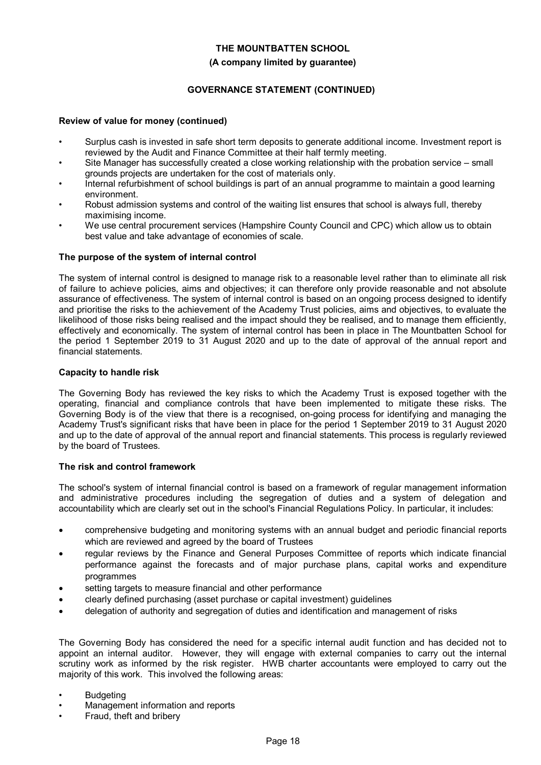#### **(A company limited by guarantee)**

#### **GOVERNANCE STATEMENT (CONTINUED)**

#### **Review of value for money (continued)**

- Surplus cash is invested in safe short term deposits to generate additional income. Investment report is reviewed by the Audit and Finance Committee at their half termly meeting.
- Site Manager has successfully created a close working relationship with the probation service small grounds projects are undertaken for the cost of materials only.
- Internal refurbishment of school buildings is part of an annual programme to maintain a good learning environment.
- Robust admission systems and control of the waiting list ensures that school is always full, thereby maximising income.
- We use central procurement services (Hampshire County Council and CPC) which allow us to obtain best value and take advantage of economies of scale.

#### **The purpose of the system of internal control**

The system of internal control is designed to manage risk to a reasonable level rather than to eliminate all risk of failure to achieve policies, aims and objectives; it can therefore only provide reasonable and not absolute assurance of effectiveness. The system of internal control is based on an ongoing process designed to identify and prioritise the risks to the achievement of the Academy Trust policies, aims and objectives, to evaluate the likelihood of those risks being realised and the impact should they be realised, and to manage them efficiently, effectively and economically. The system of internal control has been in place in The Mountbatten School for the period 1 September 2019 to 31 August 2020 and up to the date of approval of the annual report and financial statements.

#### **Capacity to handle risk**

The Governing Body has reviewed the key risks to which the Academy Trust is exposed together with the operating, financial and compliance controls that have been implemented to mitigate these risks. The Governing Body is of the view that there is a recognised, on-going process for identifying and managing the Academy Trust's significant risks that have been in place for the period 1 September 2019 to 31 August 2020 and up to the date of approval of the annual report and financial statements. This process is regularly reviewed by the board of Trustees.

#### **The risk and control framework**

The school's system of internal financial control is based on a framework of regular management information and administrative procedures including the segregation of duties and a system of delegation and accountability which are clearly set out in the school's Financial Regulations Policy. In particular, it includes:

- comprehensive budgeting and monitoring systems with an annual budget and periodic financial reports which are reviewed and agreed by the board of Trustees
- regular reviews by the Finance and General Purposes Committee of reports which indicate financial performance against the forecasts and of major purchase plans, capital works and expenditure programmes
- setting targets to measure financial and other performance
- clearly defined purchasing (asset purchase or capital investment) guidelines
- delegation of authority and segregation of duties and identification and management of risks

The Governing Body has considered the need for a specific internal audit function and has decided not to appoint an internal auditor. However, they will engage with external companies to carry out the internal scrutiny work as informed by the risk register. HWB charter accountants were employed to carry out the majority of this work. This involved the following areas:

- **Budgeting**
- Management information and reports
- Fraud, theft and bribery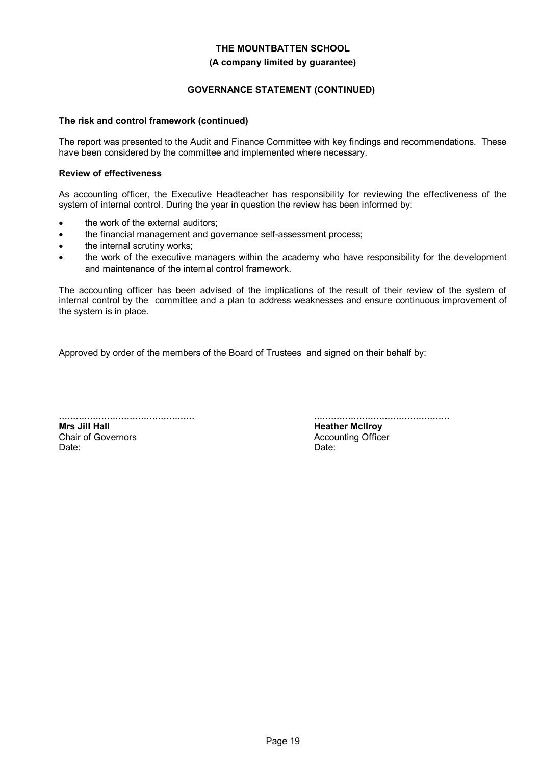#### **(A company limited by guarantee)**

#### **GOVERNANCE STATEMENT (CONTINUED)**

#### **The risk and control framework (continued)**

The report was presented to the Audit and Finance Committee with key findings and recommendations. These have been considered by the committee and implemented where necessary.

#### **Review of effectiveness**

As accounting officer, the Executive Headteacher has responsibility for reviewing the effectiveness of the system of internal control. During the year in question the review has been informed by:

- the work of the external auditors;
- the financial management and governance self-assessment process;
- the internal scrutiny works;
- the work of the executive managers within the academy who have responsibility for the development and maintenance of the internal control framework.

The accounting officer has been advised of the implications of the result of their review of the system of internal control by the committee and a plan to address weaknesses and ensure continuous improvement of the system is in place.

Approved by order of the members of the Board of Trustees and signed on their behalf by:

................................................ **Mrs Jill Hall** Chair of Governors Date:

................................................ **Heather McIlroy** Accounting Officer Date: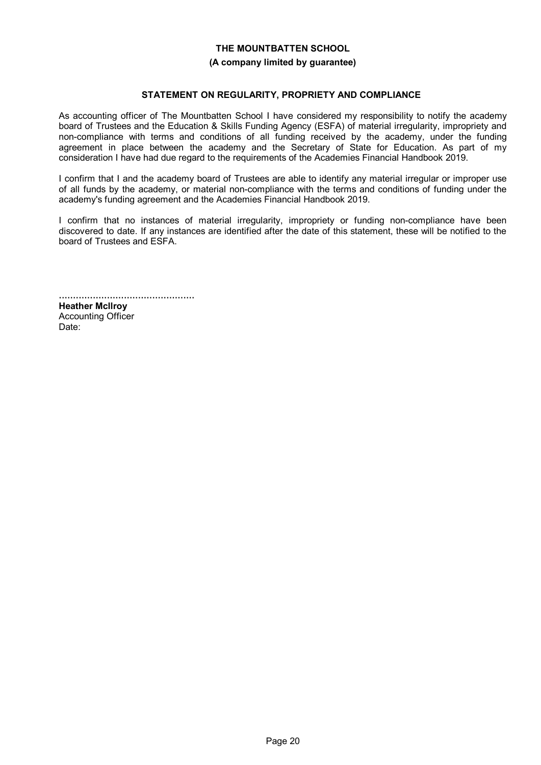#### **(A company limited by guarantee)**

#### **STATEMENT ON REGULARITY, PROPRIETY AND COMPLIANCE**

As accounting officer of The Mountbatten School I have considered my responsibility to notify the academy board of Trustees and the Education & Skills Funding Agency (ESFA) of material irregularity, impropriety and non-compliance with terms and conditions of all funding received by the academy, under the funding agreement in place between the academy and the Secretary of State for Education. As part of my consideration I have had due regard to the requirements of the Academies Financial Handbook 2019.

I confirm that I and the academy board of Trustees are able to identify any material irregular or improper use of all funds by the academy, or material non-compliance with the terms and conditions of funding under the academy's funding agreement and the Academies Financial Handbook 2019.

I confirm that no instances of material irregularity, impropriety or funding non-compliance have been discovered to date. If any instances are identified after the date of this statement, these will be notified to the board of Trustees and ESFA.

................................................ **Heather Mcllroy** Accounting Officer

Date: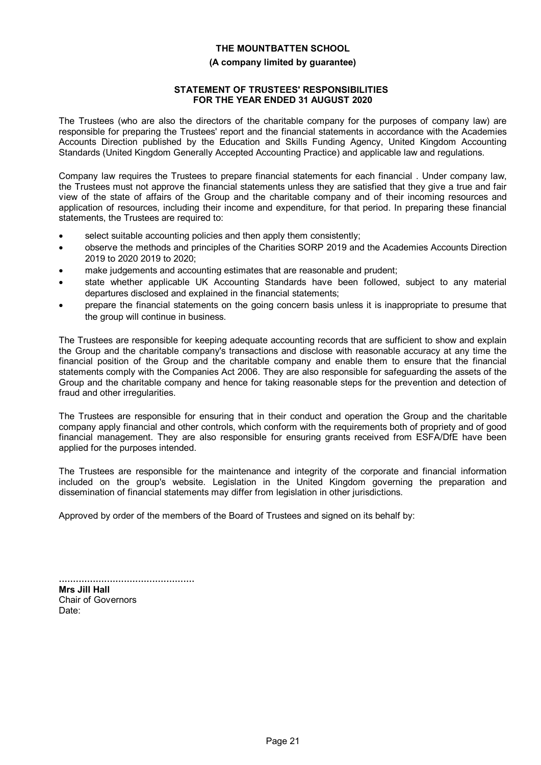#### **(A company limited by guarantee)**

#### **STATEMENT OF TRUSTEES' RESPONSIBILITIES FOR THE YEAR ENDED 31 AUGUST 2020**

The Trustees (who are also the directors of the charitable company for the purposes of company law) are responsible for preparing the Trustees' report and the financial statements in accordance with the Academies Accounts Direction published by the Education and Skills Funding Agency, United Kingdom Accounting Standards (United Kingdom Generally Accepted Accounting Practice) and applicable law and regulations.

Company law requires the Trustees to prepare financial statements for each financial . Under company law, the Trustees must not approve the financial statements unless they are satisfied that they give a true and fair view of the state of affairs of the Group and the charitable company and of their incoming resources and application of resources, including their income and expenditure, for that period. In preparing these financial statements, the Trustees are required to:

- select suitable accounting policies and then apply them consistently;
- observe the methods and principles of the Charities SORP 2019 and the Academies Accounts Direction 2019 to 2020 2019 to 2020;
- make judgements and accounting estimates that are reasonable and prudent;
- state whether applicable UK Accounting Standards have been followed, subject to any material departures disclosed and explained in the financial statements;
- prepare the financial statements on the going concern basis unless it is inappropriate to presume that the group will continue in business.

The Trustees are responsible for keeping adequate accounting records that are sufficient to show and explain the Group and the charitable company's transactions and disclose with reasonable accuracy at any time the financial position of the Group and the charitable company and enable them to ensure that the financial statements comply with the Companies Act 2006. They are also responsible for safeguarding the assets of the Group and the charitable company and hence for taking reasonable steps for the prevention and detection of fraud and other irregularities.

The Trustees are responsible for ensuring that in their conduct and operation the Group and the charitable company apply financial and other controls, which conform with the requirements both of propriety and of good financial management. They are also responsible for ensuring grants received from ESFA/DfE have been applied for the purposes intended.

The Trustees are responsible for the maintenance and integrity of the corporate and financial information included on the group's website. Legislation in the United Kingdom governing the preparation and dissemination of financial statements may differ from legislation in other jurisdictions.

Approved by order of the members of the Board of Trustees and signed on its behalf by:

................................................ **Mrs Jill Hall** Chair of Governors Date: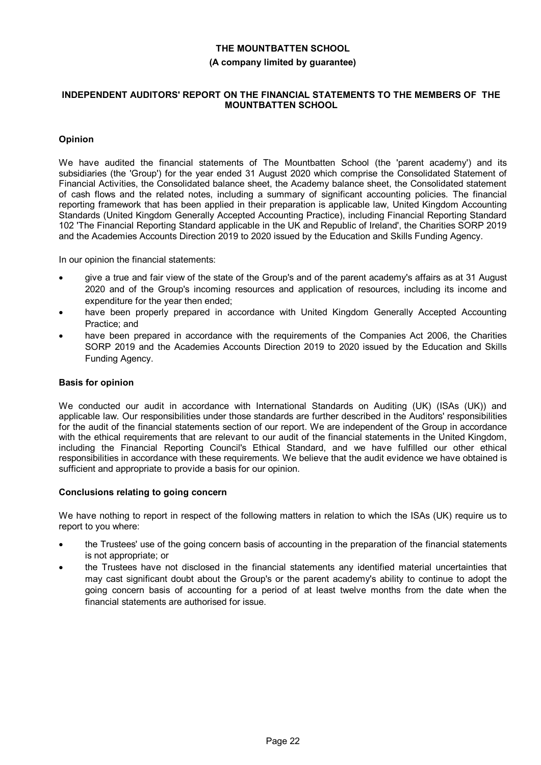# **THE MOUNTBATTEN SCHOOL (A company limited by guarantee)**

#### **INDEPENDENT AUDITORS' REPORT ON THE FINANCIAL STATEMENTS TO THE MEMBERS OF THE MOUNTBATTEN SCHOOL**

### **Opinion**

We have audited the financial statements of The Mountbatten School (the 'parent academy') and its subsidiaries (the 'Group') for the year ended 31 August 2020 which comprise the Consolidated Statement of Financial Activities, the Consolidated balance sheet, the Academy balance sheet, the Consolidated statement of cash flows and the related notes, including a summary of significant accounting policies. The financial reporting framework that has been applied in their preparation is applicable law, United Kingdom Accounting Standards (United Kingdom Generally Accepted Accounting Practice), including Financial Reporting Standard 102 'The Financial Reporting Standard applicable in the UK and Republic of Ireland', the Charities SORP 2019 and the Academies Accounts Direction 2019 to 2020 issued by the Education and Skills Funding Agency.

In our opinion the financial statements:

- give a true and fair view of the state of the Group's and of the parent academy's affairs as at 31 August 2020 and of the Group's incoming resources and application of resources, including its income and expenditure for the year then ended;
- have been properly prepared in accordance with United Kingdom Generally Accepted Accounting Practice; and
- have been prepared in accordance with the requirements of the Companies Act 2006, the Charities SORP 2019 and the Academies Accounts Direction 2019 to 2020 issued by the Education and Skills Funding Agency.

#### **Basis for opinion**

We conducted our audit in accordance with International Standards on Auditing (UK) (ISAs (UK)) and applicable law. Our responsibilities under those standards are further described in the Auditors' responsibilities for the audit of the financial statements section of our report. We are independent of the Group in accordance with the ethical requirements that are relevant to our audit of the financial statements in the United Kingdom, including the Financial Reporting Council's Ethical Standard, and we have fulfilled our other ethical responsibilities in accordance with these requirements. We believe that the audit evidence we have obtained is sufficient and appropriate to provide a basis for our opinion.

#### **Conclusions relating to going concern**

We have nothing to report in respect of the following matters in relation to which the ISAs (UK) require us to report to you where:

- the Trustees' use of the going concern basis of accounting in the preparation of the financial statements is not appropriate; or
- the Trustees have not disclosed in the financial statements any identified material uncertainties that may cast significant doubt about the Group's or the parent academy's ability to continue to adopt the going concern basis of accounting for a period of at least twelve months from the date when the financial statements are authorised for issue.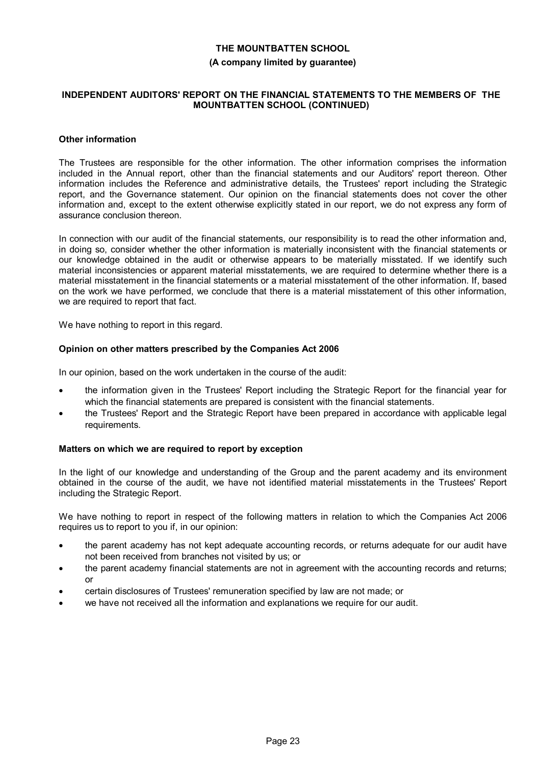#### **(A company limited by guarantee)**

#### **INDEPENDENT AUDITORS' REPORT ON THE FINANCIAL STATEMENTS TO THE MEMBERS OF THE MOUNTBATTEN SCHOOL (CONTINUED)**

#### **Other information**

The Trustees are responsible for the other information. The other information comprises the information included in the Annual report, other than the financial statements and our Auditors' report thereon. Other information includes the Reference and administrative details, the Trustees' report including the Strategic report, and the Governance statement. Our opinion on the financial statements does not cover the other information and, except to the extent otherwise explicitly stated in our report, we do not express any form of assurance conclusion thereon.

In connection with our audit of the financial statements, our responsibility is to read the other information and, in doing so, consider whether the other information is materially inconsistent with the financial statements or our knowledge obtained in the audit or otherwise appears to be materially misstated. If we identify such material inconsistencies or apparent material misstatements, we are required to determine whether there is a material misstatement in the financial statements or a material misstatement of the other information. If, based on the work we have performed, we conclude that there is a material misstatement of this other information, we are required to report that fact.

We have nothing to report in this regard.

#### **Opinion on other matters prescribed by the Companies Act 2006**

In our opinion, based on the work undertaken in the course of the audit:

- the information given in the Trustees' Report including the Strategic Report for the financial year for which the financial statements are prepared is consistent with the financial statements.
- the Trustees' Report and the Strategic Report have been prepared in accordance with applicable legal requirements.

#### **Matters on which we are required to report by exception**

In the light of our knowledge and understanding of the Group and the parent academy and its environment obtained in the course of the audit, we have not identified material misstatements in the Trustees' Report including the Strategic Report.

We have nothing to report in respect of the following matters in relation to which the Companies Act 2006 requires us to report to you if, in our opinion:

- the parent academy has not kept adequate accounting records, or returns adequate for our audit have not been received from branches not visited by us; or
- the parent academy financial statements are not in agreement with the accounting records and returns; or
- certain disclosures of Trustees' remuneration specified by law are not made; or
- we have not received all the information and explanations we require for our audit.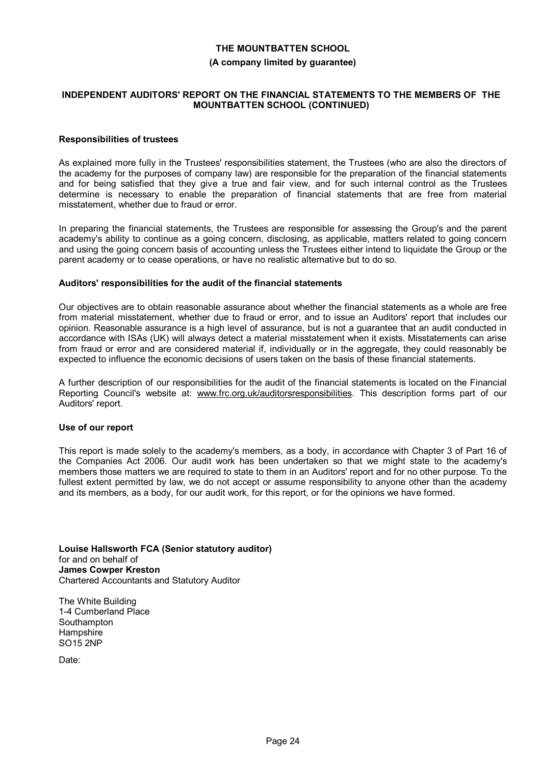#### **(A company limited by guarantee)**

#### **INDEPENDENT AUDITORS' REPORT ON THE FINANCIAL STATEMENTS TO THE MEMBERS OF THE MOUNTBATTEN SCHOOL (CONTINUED)**

#### **Responsibilities of trustees**

As explained more fully in the Trustees' responsibilities statement, the Trustees (who are also the directors of the academy for the purposes of company law) are responsible for the preparation of the financial statements and for being satisfied that they give a true and fair view, and for such internal control as the Trustees determine is necessary to enable the preparation of financial statements that are free from material misstatement, whether due to fraud or error.

In preparing the financial statements, the Trustees are responsible for assessing the Group's and the parent academy's ability to continue as a going concern, disclosing, as applicable, matters related to going concern and using the going concern basis of accounting unless the Trustees either intend to liquidate the Group or the parent academy or to cease operations, or have no realistic alternative but to do so.

#### **Auditors' responsibilities for the audit of the financial statements**

Our objectives are to obtain reasonable assurance about whether the financial statements as a whole are free from material misstatement, whether due to fraud or error, and to issue an Auditors' report that includes our opinion. Reasonable assurance is a high level of assurance, but is not a guarantee that an audit conducted in accordance with ISAs (UK) will always detect a material misstatement when it exists. Misstatements can arise from fraud or error and are considered material if, individually or in the aggregate, they could reasonably be expected to influence the economic decisions of users taken on the basis of these financial statements.

A further description of our responsibilities for the audit of the financial statements is located on the Financial Reporting Council's website at: www.frc.org.uk/auditorsresponsibilities. This description forms part of our Auditors' report.

#### **Use of our report**

This report is made solely to the academy's members, as a body, in accordance with Chapter 3 of Part 16 of the Companies Act 2006. Our audit work has been undertaken so that we might state to the academy's members those matters we are required to state to them in an Auditors' report and for no other purpose. To the fullest extent permitted by law, we do not accept or assume responsibility to anyone other than the academy and its members, as a body, for our audit work, for this report, or for the opinions we have formed.

**Louise Hallsworth FCA (Senior statutory auditor)** for and on behalf of **James Cowper Kreston** Chartered Accountants and Statutory Auditor

The White Building 1-4 Cumberland Place **Southampton Hampshire** SO15 2NP

Date: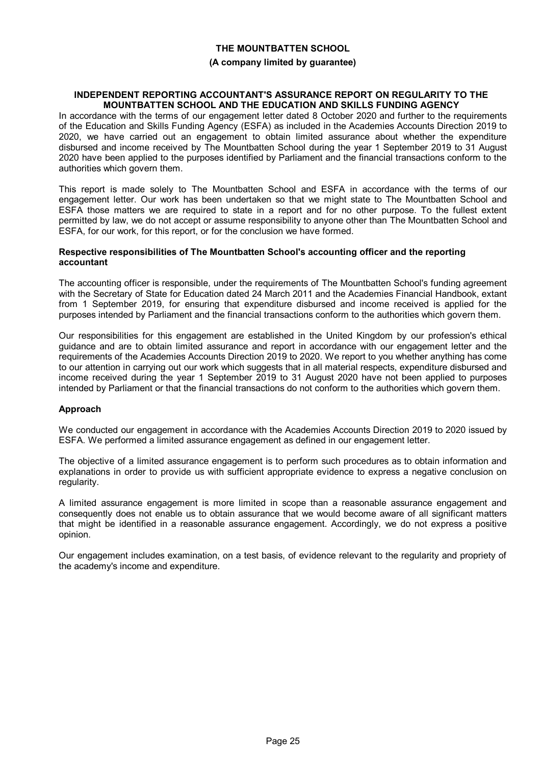#### **(A company limited by guarantee)**

#### **INDEPENDENT REPORTING ACCOUNTANT'S ASSURANCE REPORT ON REGULARITY TO THE MOUNTBATTEN SCHOOL AND THE EDUCATION AND SKILLS FUNDING AGENCY**

In accordance with the terms of our engagement letter dated 8 October 2020 and further to the requirements of the Education and Skills Funding Agency (ESFA) as included in the Academies Accounts Direction 2019 to 2020, we have carried out an engagement to obtain limited assurance about whether the expenditure disbursed and income received by The Mountbatten School during the year 1 September 2019 to 31 August 2020 have been applied to the purposes identified by Parliament and the financial transactions conform to the authorities which govern them.

This report is made solely to The Mountbatten School and ESFA in accordance with the terms of our engagement letter. Our work has been undertaken so that we might state to The Mountbatten School and ESFA those matters we are required to state in a report and for no other purpose. To the fullest extent permitted by law, we do not accept or assume responsibility to anyone other than The Mountbatten School and ESFA, for our work, for this report, or for the conclusion we have formed.

#### **Respective responsibilities of The Mountbatten School's accounting officer and the reporting accountant**

The accounting officer is responsible, under the requirements of The Mountbatten School's funding agreement with the Secretary of State for Education dated 24 March 2011 and the Academies Financial Handbook, extant from 1 September 2019, for ensuring that expenditure disbursed and income received is applied for the purposes intended by Parliament and the financial transactions conform to the authorities which govern them.

Our responsibilities for this engagement are established in the United Kingdom by our profession's ethical guidance and are to obtain limited assurance and report in accordance with our engagement letter and the requirements of the Academies Accounts Direction 2019 to 2020. We report to you whether anything has come to our attention in carrying out our work which suggests that in all material respects, expenditure disbursed and income received during the year 1 September 2019 to 31 August 2020 have not been applied to purposes intended by Parliament or that the financial transactions do not conform to the authorities which govern them.

#### **Approach**

We conducted our engagement in accordance with the Academies Accounts Direction 2019 to 2020 issued by ESFA. We performed a limited assurance engagement as defined in our engagement letter.

The objective of a limited assurance engagement is to perform such procedures as to obtain information and explanations in order to provide us with sufficient appropriate evidence to express a negative conclusion on regularity.

A limited assurance engagement is more limited in scope than a reasonable assurance engagement and consequently does not enable us to obtain assurance that we would become aware of all significant matters that might be identified in a reasonable assurance engagement. Accordingly, we do not express a positive opinion.

Our engagement includes examination, on a test basis, of evidence relevant to the regularity and propriety of the academy's income and expenditure.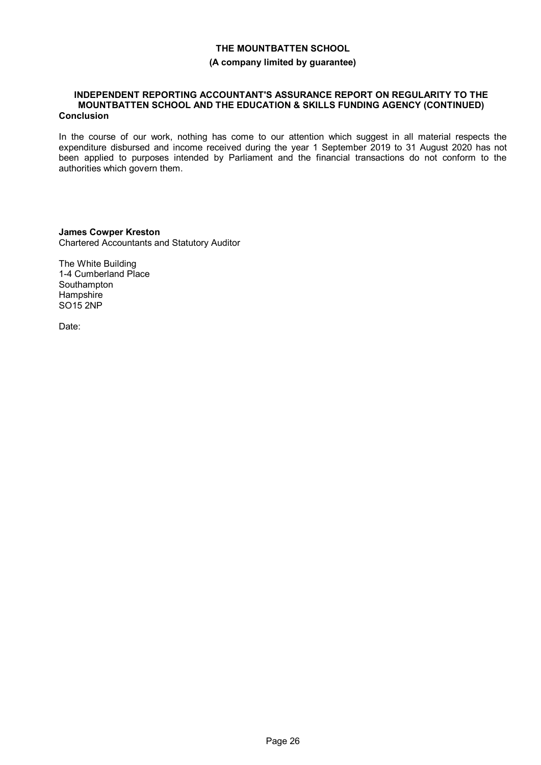#### **(A company limited by guarantee)**

#### **INDEPENDENT REPORTING ACCOUNTANT'S ASSURANCE REPORT ON REGULARITY TO THE MOUNTBATTEN SCHOOL AND THE EDUCATION & SKILLS FUNDING AGENCY (CONTINUED) Conclusion**

In the course of our work, nothing has come to our attention which suggest in all material respects the expenditure disbursed and income received during the year 1 September 2019 to 31 August 2020 has not been applied to purposes intended by Parliament and the financial transactions do not conform to the authorities which govern them.

**James Cowper Kreston** Chartered Accountants and Statutory Auditor

The White Building 1-4 Cumberland Place Southampton Hampshire SO15 2NP

Date: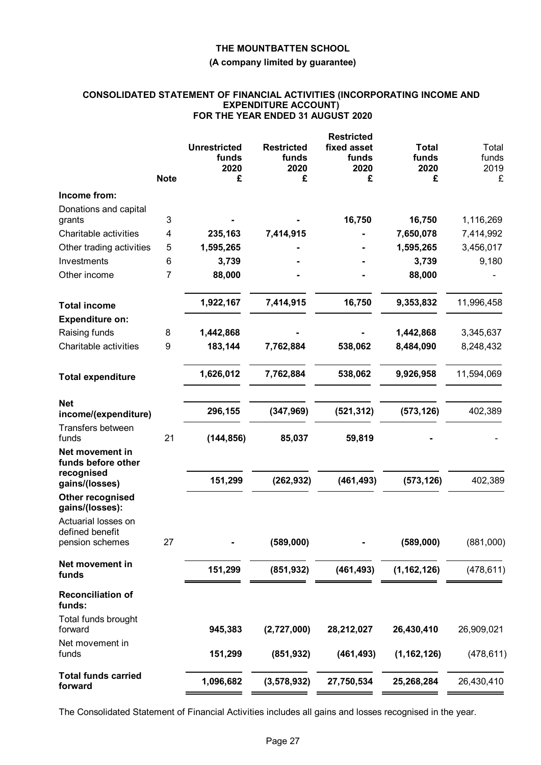#### **(A company limited by guarantee)**

#### **CONSOLIDATED STATEMENT OF FINANCIAL ACTIVITIES (INCORPORATING INCOME AND EXPENDITURE ACCOUNT) FOR THE YEAR ENDED 31 AUGUST 2020**

|                                            |             |                     |                   | <b>Restricted</b> |               |            |
|--------------------------------------------|-------------|---------------------|-------------------|-------------------|---------------|------------|
|                                            |             | <b>Unrestricted</b> | <b>Restricted</b> | fixed asset       | <b>Total</b>  | Total      |
|                                            |             | funds               | funds             | funds             | funds         | funds      |
|                                            | <b>Note</b> | 2020<br>£           | 2020<br>£         | 2020<br>£         | 2020<br>£     | 2019<br>£  |
|                                            |             |                     |                   |                   |               |            |
| Income from:                               |             |                     |                   |                   |               |            |
| Donations and capital                      |             |                     |                   |                   |               |            |
| grants                                     | 3           |                     |                   | 16,750            | 16,750        | 1,116,269  |
| Charitable activities                      | 4           | 235,163             | 7,414,915         |                   | 7,650,078     | 7,414,992  |
| Other trading activities                   | 5           | 1,595,265           |                   |                   | 1,595,265     | 3,456,017  |
| Investments                                | 6           | 3,739               |                   |                   | 3,739         | 9,180      |
| Other income                               | 7           | 88,000              |                   |                   | 88,000        |            |
| <b>Total income</b>                        |             | 1,922,167           | 7,414,915         | 16,750            | 9,353,832     | 11,996,458 |
| <b>Expenditure on:</b>                     |             |                     |                   |                   |               |            |
| Raising funds                              | 8           | 1,442,868           |                   |                   | 1,442,868     | 3,345,637  |
| Charitable activities                      | 9           | 183,144             | 7,762,884         | 538,062           | 8,484,090     | 8,248,432  |
|                                            |             |                     |                   |                   |               |            |
| <b>Total expenditure</b>                   |             | 1,626,012           | 7,762,884         | 538,062           | 9,926,958     | 11,594,069 |
| <b>Net</b>                                 |             |                     |                   |                   |               |            |
| income/(expenditure)                       |             | 296,155             | (347, 969)        | (521, 312)        | (573, 126)    | 402,389    |
| Transfers between<br>funds                 | 21          | (144, 856)          | 85,037            | 59,819            |               |            |
| Net movement in                            |             |                     |                   |                   |               |            |
| funds before other                         |             |                     |                   |                   |               |            |
| recognised                                 |             | 151,299             | (262, 932)        | (461, 493)        | (573, 126)    | 402,389    |
| gains/(losses)                             |             |                     |                   |                   |               |            |
| <b>Other recognised</b><br>gains/(losses): |             |                     |                   |                   |               |            |
| Actuarial losses on                        |             |                     |                   |                   |               |            |
| defined benefit                            |             |                     |                   |                   |               |            |
| pension schemes                            | 27          |                     | (589,000)         |                   | (589,000)     | (881,000)  |
| Net movement in<br>funds                   |             | 151,299             | (851, 932)        | (461, 493)        | (1, 162, 126) | (478, 611) |
| <b>Reconciliation of</b>                   |             |                     |                   |                   |               |            |
| funds:                                     |             |                     |                   |                   |               |            |
| Total funds brought<br>forward             |             | 945,383             | (2,727,000)       | 28,212,027        | 26,430,410    | 26,909,021 |
| Net movement in                            |             |                     |                   |                   |               |            |
| funds                                      |             | 151,299             | (851, 932)        | (461, 493)        | (1, 162, 126) | (478, 611) |
| <b>Total funds carried</b>                 |             | 1,096,682           | (3, 578, 932)     | 27,750,534        | 25,268,284    | 26,430,410 |
| forward                                    |             |                     |                   |                   |               |            |

The Consolidated Statement of Financial Activities includes all gains and losses recognised in the year.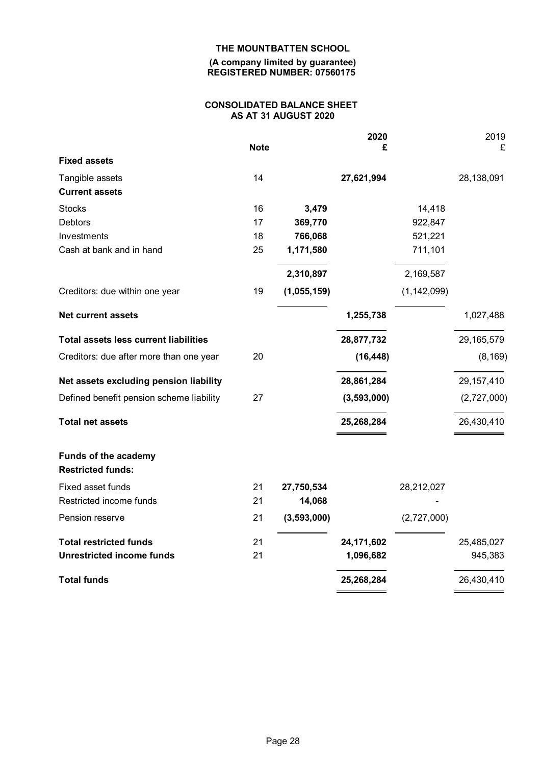**(A company limited by guarantee) REGISTERED NUMBER: 07560175**

# **CONSOLIDATED BALANCE SHEET AS AT 31 AUGUST 2020**

|                                              |             |             | 2020        |               | 2019         |
|----------------------------------------------|-------------|-------------|-------------|---------------|--------------|
| <b>Fixed assets</b>                          | <b>Note</b> |             | £           |               | £            |
|                                              |             |             |             |               |              |
| Tangible assets                              | 14          |             | 27,621,994  |               | 28,138,091   |
| <b>Current assets</b>                        |             |             |             |               |              |
| <b>Stocks</b>                                | 16          | 3,479       |             | 14,418        |              |
| <b>Debtors</b>                               | 17          | 369,770     |             | 922,847       |              |
| Investments                                  | 18          | 766,068     |             | 521,221       |              |
| Cash at bank and in hand                     | 25          | 1,171,580   |             | 711,101       |              |
|                                              |             | 2,310,897   |             | 2,169,587     |              |
| Creditors: due within one year               | 19          | (1,055,159) |             | (1, 142, 099) |              |
| <b>Net current assets</b>                    |             |             | 1,255,738   |               | 1,027,488    |
| <b>Total assets less current liabilities</b> |             |             | 28,877,732  |               | 29,165,579   |
| Creditors: due after more than one year      | 20          |             | (16, 448)   |               | (8, 169)     |
| Net assets excluding pension liability       |             |             | 28,861,284  |               | 29, 157, 410 |
| Defined benefit pension scheme liability     | 27          |             | (3,593,000) |               | (2,727,000)  |
| <b>Total net assets</b>                      |             |             | 25,268,284  |               | 26,430,410   |
| <b>Funds of the academy</b>                  |             |             |             |               |              |
| <b>Restricted funds:</b>                     |             |             |             |               |              |
| Fixed asset funds                            | 21          | 27,750,534  |             | 28,212,027    |              |
| Restricted income funds                      | 21          | 14,068      |             |               |              |
| Pension reserve                              | 21          | (3,593,000) |             | (2,727,000)   |              |
| <b>Total restricted funds</b>                | 21          |             | 24,171,602  |               | 25,485,027   |
| <b>Unrestricted income funds</b>             | 21          |             | 1,096,682   |               | 945,383      |
| <b>Total funds</b>                           |             |             | 25,268,284  |               | 26,430,410   |
|                                              |             |             |             |               |              |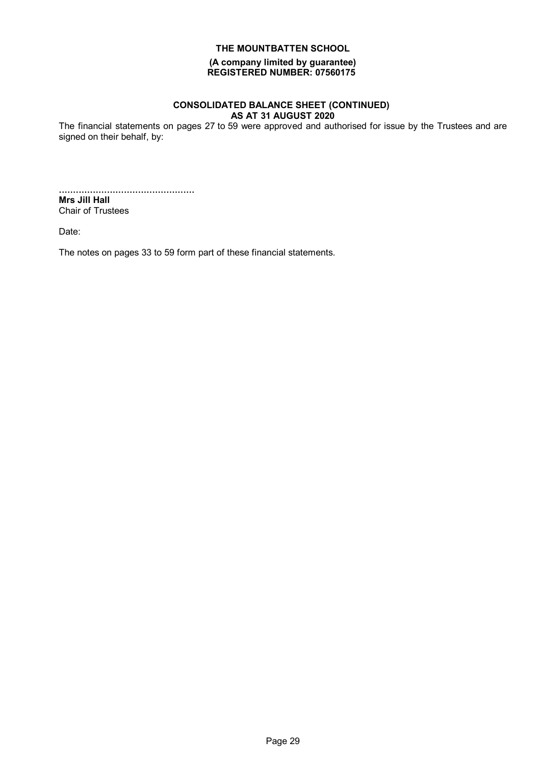**(A company limited by guarantee) REGISTERED NUMBER: 07560175**

#### **CONSOLIDATED BALANCE SHEET (CONTINUED) AS AT 31 AUGUST 2020**

The financial statements on pages 27 to 59 were approved and authorised for issue by the Trustees and are signed on their behalf, by:

................................................ **Mrs Jill Hall** Chair of Trustees

Date:

The notes on pages 33 to 59 form part of these financial statements.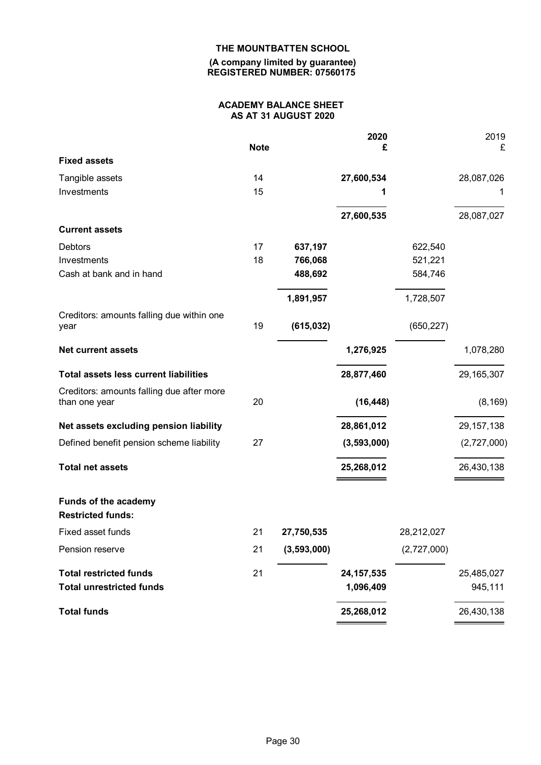**(A company limited by guarantee) REGISTERED NUMBER: 07560175**

#### **ACADEMY BALANCE SHEET AS AT 31 AUGUST 2020**

|                                                         |             |             | 2020         |             | 2019         |
|---------------------------------------------------------|-------------|-------------|--------------|-------------|--------------|
|                                                         | <b>Note</b> |             | £            |             | £            |
| <b>Fixed assets</b>                                     |             |             |              |             |              |
| Tangible assets                                         | 14          |             | 27,600,534   |             | 28,087,026   |
| Investments                                             | 15          |             |              |             | 1            |
|                                                         |             |             | 27,600,535   |             | 28,087,027   |
| <b>Current assets</b>                                   |             |             |              |             |              |
| Debtors                                                 | 17          | 637,197     |              | 622,540     |              |
| Investments                                             | 18          | 766,068     |              | 521,221     |              |
| Cash at bank and in hand                                |             | 488,692     |              | 584,746     |              |
|                                                         |             | 1,891,957   |              | 1,728,507   |              |
| Creditors: amounts falling due within one<br>year       | 19          | (615, 032)  |              | (650, 227)  |              |
|                                                         |             |             |              |             |              |
| <b>Net current assets</b>                               |             |             | 1,276,925    |             | 1,078,280    |
| <b>Total assets less current liabilities</b>            |             |             | 28,877,460   |             | 29, 165, 307 |
| Creditors: amounts falling due after more               |             |             |              |             |              |
| than one year                                           | 20          |             | (16, 448)    |             | (8, 169)     |
| Net assets excluding pension liability                  |             |             | 28,861,012   |             | 29, 157, 138 |
| Defined benefit pension scheme liability                | 27          |             | (3,593,000)  |             | (2,727,000)  |
| <b>Total net assets</b>                                 |             |             | 25,268,012   |             | 26,430,138   |
| <b>Funds of the academy</b><br><b>Restricted funds:</b> |             |             |              |             |              |
| <b>Fixed asset funds</b>                                | 21          | 27,750,535  |              | 28,212,027  |              |
| Pension reserve                                         | 21          | (3,593,000) |              | (2,727,000) |              |
| <b>Total restricted funds</b>                           | 21          |             | 24, 157, 535 |             | 25,485,027   |
| <b>Total unrestricted funds</b>                         |             |             | 1,096,409    |             | 945,111      |
| <b>Total funds</b>                                      |             |             | 25,268,012   |             | 26,430,138   |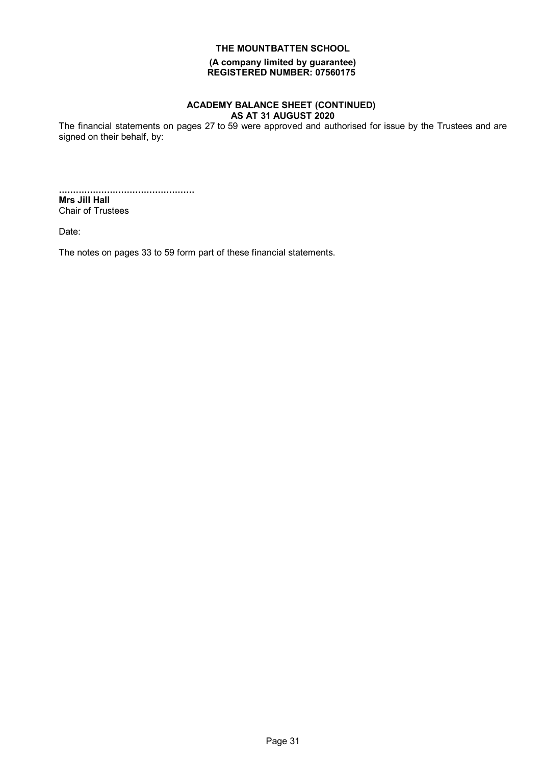**(A company limited by guarantee) REGISTERED NUMBER: 07560175**

#### **ACADEMY BALANCE SHEET (CONTINUED) AS AT 31 AUGUST 2020**

The financial statements on pages 27 to 59 were approved and authorised for issue by the Trustees and are signed on their behalf, by:

................................................ **Mrs Jill Hall** Chair of Trustees

Date:

The notes on pages 33 to 59 form part of these financial statements.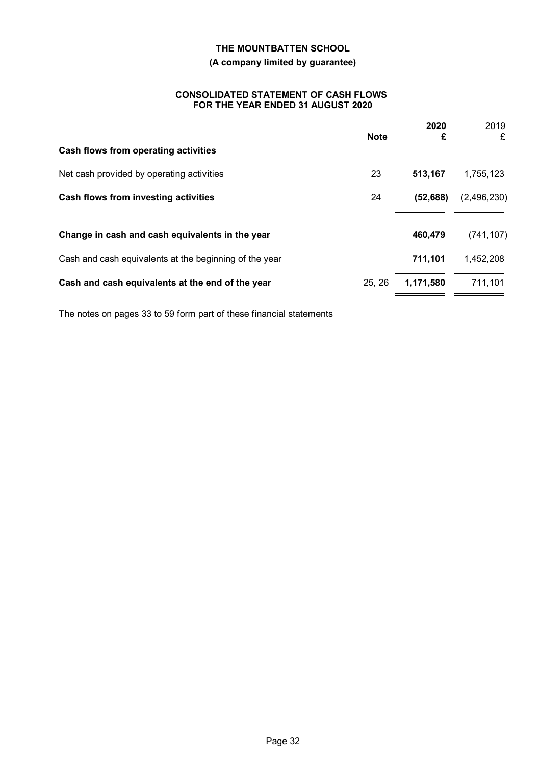### **(A company limited by guarantee)**

#### **CONSOLIDATED STATEMENT OF CASH FLOWS FOR THE YEAR ENDED 31 AUGUST 2020**

|                                                        | <b>Note</b> | 2020<br>£ | 2019<br>£   |
|--------------------------------------------------------|-------------|-----------|-------------|
| Cash flows from operating activities                   |             |           |             |
| Net cash provided by operating activities              | 23          | 513,167   | 1,755,123   |
| Cash flows from investing activities                   | 24          | (52, 688) | (2,496,230) |
| Change in cash and cash equivalents in the year        |             | 460,479   | (741, 107)  |
| Cash and cash equivalents at the beginning of the year |             | 711,101   | 1,452,208   |
| Cash and cash equivalents at the end of the year       | 25, 26      | 1,171,580 | 711,101     |

The notes on pages 33 to 59 form part of these financial statements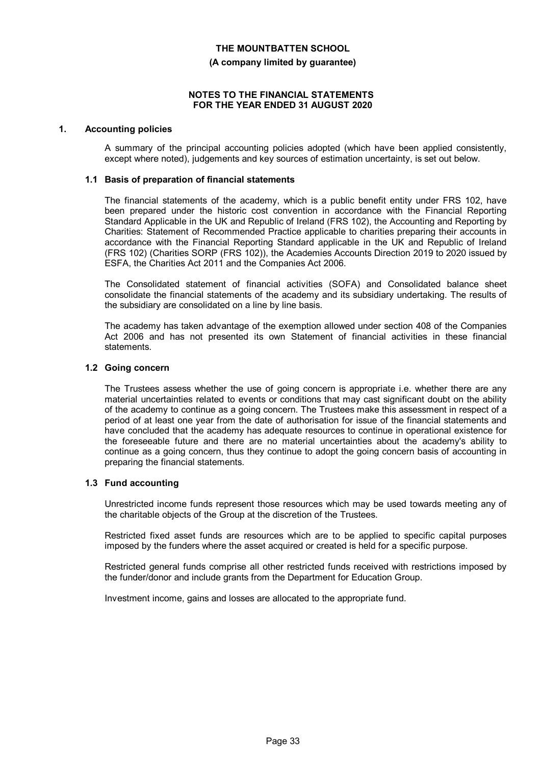# **THE MOUNTBATTEN SCHOOL (A company limited by guarantee)**

#### **NOTES TO THE FINANCIAL STATEMENTS FOR THE YEAR ENDED 31 AUGUST 2020**

#### **1. Accounting policies**

A summary of the principal accounting policies adopted (which have been applied consistently, except where noted), judgements and key sources of estimation uncertainty, is set out below.

#### **1.1 Basis of preparation of financial statements**

The financial statements of the academy, which is a public benefit entity under FRS 102, have been prepared under the historic cost convention in accordance with the Financial Reporting Standard Applicable in the UK and Republic of Ireland (FRS 102), the Accounting and Reporting by Charities: Statement of Recommended Practice applicable to charities preparing their accounts in accordance with the Financial Reporting Standard applicable in the UK and Republic of Ireland (FRS 102) (Charities SORP (FRS 102)), the Academies Accounts Direction 2019 to 2020 issued by ESFA, the Charities Act 2011 and the Companies Act 2006.

The Consolidated statement of financial activities (SOFA) and Consolidated balance sheet consolidate the financial statements of the academy and its subsidiary undertaking. The results of the subsidiary are consolidated on a line by line basis.

The academy has taken advantage of the exemption allowed under section 408 of the Companies Act 2006 and has not presented its own Statement of financial activities in these financial statements.

#### **1.2 Going concern**

The Trustees assess whether the use of going concern is appropriate i.e. whether there are any material uncertainties related to events or conditions that may cast significant doubt on the ability of the academy to continue as a going concern. The Trustees make this assessment in respect of a period of at least one year from the date of authorisation for issue of the financial statements and have concluded that the academy has adequate resources to continue in operational existence for the foreseeable future and there are no material uncertainties about the academy's ability to continue as a going concern, thus they continue to adopt the going concern basis of accounting in preparing the financial statements.

#### **1.3 Fund accounting**

Unrestricted income funds represent those resources which may be used towards meeting any of the charitable objects of the Group at the discretion of the Trustees.

Restricted fixed asset funds are resources which are to be applied to specific capital purposes imposed by the funders where the asset acquired or created is held for a specific purpose.

Restricted general funds comprise all other restricted funds received with restrictions imposed by the funder/donor and include grants from the Department for Education Group.

Investment income, gains and losses are allocated to the appropriate fund.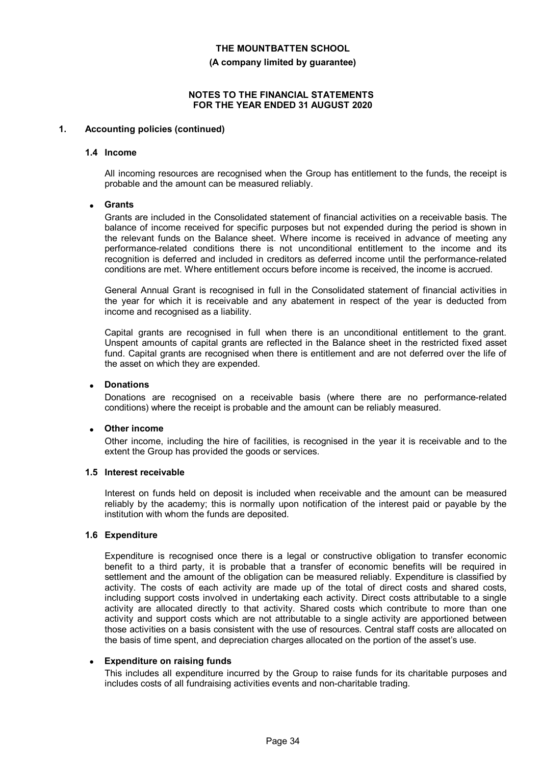**(A company limited by guarantee)**

#### **NOTES TO THE FINANCIAL STATEMENTS FOR THE YEAR ENDED 31 AUGUST 2020**

#### **1. Accounting policies (continued)**

#### **1.4 Income**

All incoming resources are recognised when the Group has entitlement to the funds, the receipt is probable and the amount can be measured reliably.

#### **Grants**

Grants are included in the Consolidated statement of financial activities on a receivable basis. The balance of income received for specific purposes but not expended during the period is shown in the relevant funds on the Balance sheet. Where income is received in advance of meeting any performance-related conditions there is not unconditional entitlement to the income and its recognition is deferred and included in creditors as deferred income until the performance-related conditions are met. Where entitlement occurs before income is received, the income is accrued.

General Annual Grant is recognised in full in the Consolidated statement of financial activities in the year for which it is receivable and any abatement in respect of the year is deducted from income and recognised as a liability.

Capital grants are recognised in full when there is an unconditional entitlement to the grant. Unspent amounts of capital grants are reflected in the Balance sheet in the restricted fixed asset fund. Capital grants are recognised when there is entitlement and are not deferred over the life of the asset on which they are expended.

#### **Donations**

Donations are recognised on a receivable basis (where there are no performance-related conditions) where the receipt is probable and the amount can be reliably measured.

#### **Other income**

Other income, including the hire of facilities, is recognised in the year it is receivable and to the extent the Group has provided the goods or services.

#### **1.5 Interest receivable**

Interest on funds held on deposit is included when receivable and the amount can be measured reliably by the academy; this is normally upon notification of the interest paid or payable by the institution with whom the funds are deposited.

#### **1.6 Expenditure**

Expenditure is recognised once there is a legal or constructive obligation to transfer economic benefit to a third party, it is probable that a transfer of economic benefits will be required in settlement and the amount of the obligation can be measured reliably. Expenditure is classified by activity. The costs of each activity are made up of the total of direct costs and shared costs, including support costs involved in undertaking each activity. Direct costs attributable to a single activity are allocated directly to that activity. Shared costs which contribute to more than one activity and support costs which are not attributable to a single activity are apportioned between those activities on a basis consistent with the use of resources. Central staff costs are allocated on the basis of time spent, and depreciation charges allocated on the portion of the asset's use.

#### **Expenditure on raising funds**

This includes all expenditure incurred by the Group to raise funds for its charitable purposes and includes costs of all fundraising activities events and non-charitable trading.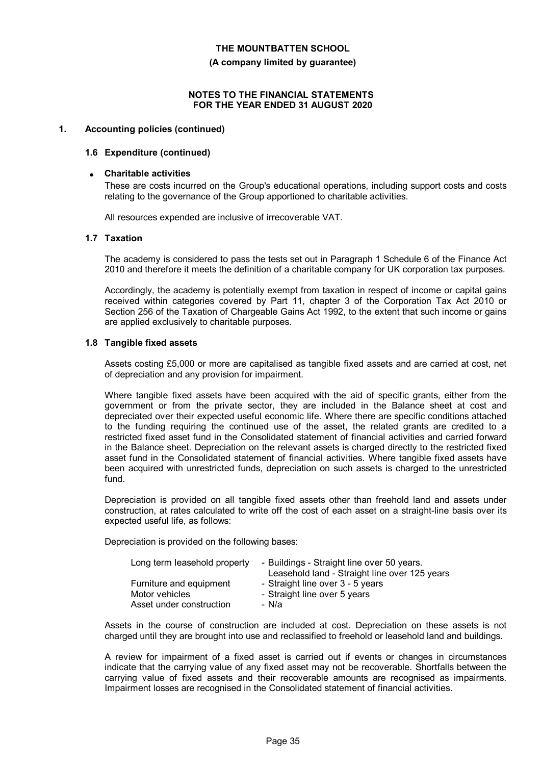**(A company limited by guarantee)**

#### **NOTES TO THE FINANCIAL STATEMENTS FOR THE YEAR ENDED 31 AUGUST 2020**

#### **1. Accounting policies (continued)**

#### **1.6 Expenditure (continued)**

#### **Charitable activities**

These are costs incurred on the Group's educational operations, including support costs and costs relating to the governance of the Group apportioned to charitable activities.

All resources expended are inclusive of irrecoverable VAT.

#### **1.7 Taxation**

The academy is considered to pass the tests set out in Paragraph 1 Schedule 6 of the Finance Act 2010 and therefore it meets the definition of a charitable company for UK corporation tax purposes.

Accordingly, the academy is potentially exempt from taxation in respect of income or capital gains received within categories covered by Part 11, chapter 3 of the Corporation Tax Act 2010 or Section 256 of the Taxation of Chargeable Gains Act 1992, to the extent that such income or gains are applied exclusively to charitable purposes.

#### **1.8 Tangible fixed assets**

Assets costing £5,000 or more are capitalised as tangible fixed assets and are carried at cost, net of depreciation and any provision for impairment.

Where tangible fixed assets have been acquired with the aid of specific grants, either from the government or from the private sector, they are included in the Balance sheet at cost and depreciated over their expected useful economic life. Where there are specific conditions attached to the funding requiring the continued use of the asset, the related grants are credited to a restricted fixed asset fund in the Consolidated statement of financial activities and carried forward in the Balance sheet. Depreciation on the relevant assets is charged directly to the restricted fixed asset fund in the Consolidated statement of financial activities. Where tangible fixed assets have been acquired with unrestricted funds, depreciation on such assets is charged to the unrestricted fund.

Depreciation is provided on all tangible fixed assets other than freehold land and assets under construction, at rates calculated to write off the cost of each asset on a straight-line basis over its expected useful life, as follows:

Depreciation is provided on the following bases:

| Long term leasehold property | - Buildings - Straight line over 50 years.<br>Leasehold land - Straight line over 125 years |
|------------------------------|---------------------------------------------------------------------------------------------|
| Furniture and equipment      | - Straight line over 3 - 5 years                                                            |
| Motor vehicles               | - Straight line over 5 years                                                                |
| Asset under construction     | - N/a                                                                                       |

Assets in the course of construction are included at cost. Depreciation on these assets is not charged until they are brought into use and reclassified to freehold or leasehold land and buildings.

A review for impairment of a fixed asset is carried out if events or changes in circumstances indicate that the carrying value of any fixed asset may not be recoverable. Shortfalls between the carrying value of fixed assets and their recoverable amounts are recognised as impairments. Impairment losses are recognised in the Consolidated statement of financial activities.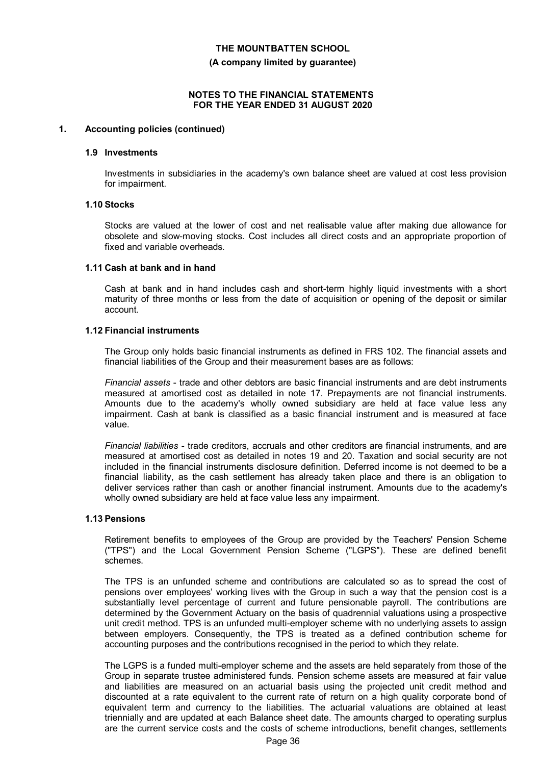**(A company limited by guarantee)**

#### **NOTES TO THE FINANCIAL STATEMENTS FOR THE YEAR ENDED 31 AUGUST 2020**

#### **1. Accounting policies (continued)**

#### **1.9 Investments**

Investments in subsidiaries in the academy's own balance sheet are valued at cost less provision for impairment.

#### **1.10 Stocks**

Stocks are valued at the lower of cost and net realisable value after making due allowance for obsolete and slow-moving stocks. Cost includes all direct costs and an appropriate proportion of fixed and variable overheads.

#### **1.11 Cash at bank and in hand**

Cash at bank and in hand includes cash and short-term highly liquid investments with a short maturity of three months or less from the date of acquisition or opening of the deposit or similar account.

#### **1.12 Financial instruments**

The Group only holds basic financial instruments as defined in FRS 102. The financial assets and financial liabilities of the Group and their measurement bases are as follows:

*Financial assets* - trade and other debtors are basic financial instruments and are debt instruments measured at amortised cost as detailed in note 17. Prepayments are not financial instruments. Amounts due to the academy's wholly owned subsidiary are held at face value less any impairment. Cash at bank is classified as a basic financial instrument and is measured at face value.

*Financial liabilities* - trade creditors, accruals and other creditors are financial instruments, and are measured at amortised cost as detailed in notes 19 and 20. Taxation and social security are not included in the financial instruments disclosure definition. Deferred income is not deemed to be a financial liability, as the cash settlement has already taken place and there is an obligation to deliver services rather than cash or another financial instrument. Amounts due to the academy's wholly owned subsidiary are held at face value less any impairment.

#### **1.13 Pensions**

Retirement benefits to employees of the Group are provided by the Teachers' Pension Scheme ("TPS") and the Local Government Pension Scheme ("LGPS"). These are defined benefit schemes.

The TPS is an unfunded scheme and contributions are calculated so as to spread the cost of pensions over employees' working lives with the Group in such a way that the pension cost is a substantially level percentage of current and future pensionable payroll. The contributions are determined by the Government Actuary on the basis of quadrennial valuations using a prospective unit credit method. TPS is an unfunded multi-employer scheme with no underlying assets to assign between employers. Consequently, the TPS is treated as a defined contribution scheme for accounting purposes and the contributions recognised in the period to which they relate.

The LGPS is a funded multi-employer scheme and the assets are held separately from those of the Group in separate trustee administered funds. Pension scheme assets are measured at fair value and liabilities are measured on an actuarial basis using the projected unit credit method and discounted at a rate equivalent to the current rate of return on a high quality corporate bond of equivalent term and currency to the liabilities. The actuarial valuations are obtained at least triennially and are updated at each Balance sheet date. The amounts charged to operating surplus are the current service costs and the costs of scheme introductions, benefit changes, settlements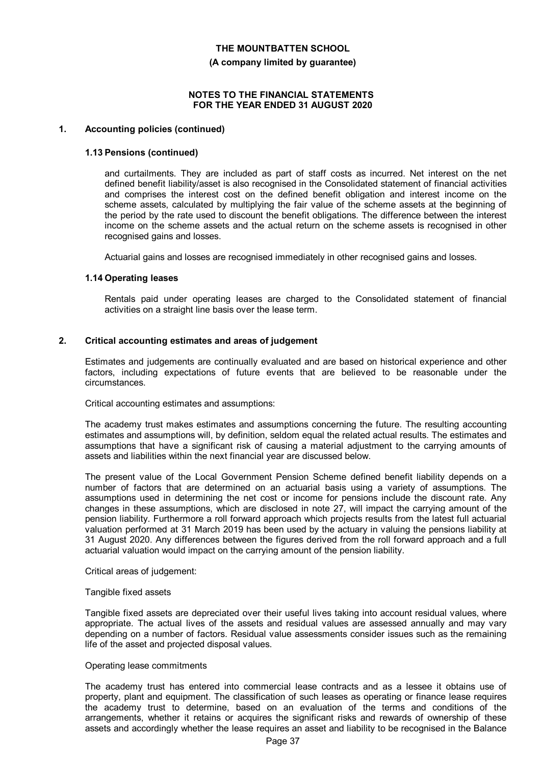**(A company limited by guarantee)**

#### **NOTES TO THE FINANCIAL STATEMENTS FOR THE YEAR ENDED 31 AUGUST 2020**

#### **1. Accounting policies (continued)**

#### **1.13 Pensions (continued)**

and curtailments. They are included as part of staff costs as incurred. Net interest on the net defined benefit liability/asset is also recognised in the Consolidated statement of financial activities and comprises the interest cost on the defined benefit obligation and interest income on the scheme assets, calculated by multiplying the fair value of the scheme assets at the beginning of the period by the rate used to discount the benefit obligations. The difference between the interest income on the scheme assets and the actual return on the scheme assets is recognised in other recognised gains and losses.

Actuarial gains and losses are recognised immediately in other recognised gains and losses.

#### **1.14 Operating leases**

Rentals paid under operating leases are charged to the Consolidated statement of financial activities on a straight line basis over the lease term.

#### **2. Critical accounting estimates and areas of judgement**

Estimates and judgements are continually evaluated and are based on historical experience and other factors, including expectations of future events that are believed to be reasonable under the circumstances.

Critical accounting estimates and assumptions:

The academy trust makes estimates and assumptions concerning the future. The resulting accounting estimates and assumptions will, by definition, seldom equal the related actual results. The estimates and assumptions that have a significant risk of causing a material adjustment to the carrying amounts of assets and liabilities within the next financial year are discussed below.

The present value of the Local Government Pension Scheme defined benefit liability depends on a number of factors that are determined on an actuarial basis using a variety of assumptions. The assumptions used in determining the net cost or income for pensions include the discount rate. Any changes in these assumptions, which are disclosed in note 27, will impact the carrying amount of the pension liability. Furthermore a roll forward approach which projects results from the latest full actuarial valuation performed at 31 March 2019 has been used by the actuary in valuing the pensions liability at 31 August 2020. Any differences between the figures derived from the roll forward approach and a full actuarial valuation would impact on the carrying amount of the pension liability.

Critical areas of judgement:

#### Tangible fixed assets

Tangible fixed assets are depreciated over their useful lives taking into account residual values, where appropriate. The actual lives of the assets and residual values are assessed annually and may vary depending on a number of factors. Residual value assessments consider issues such as the remaining life of the asset and projected disposal values.

#### Operating lease commitments

The academy trust has entered into commercial lease contracts and as a lessee it obtains use of property, plant and equipment. The classification of such leases as operating or finance lease requires the academy trust to determine, based on an evaluation of the terms and conditions of the arrangements, whether it retains or acquires the significant risks and rewards of ownership of these assets and accordingly whether the lease requires an asset and liability to be recognised in the Balance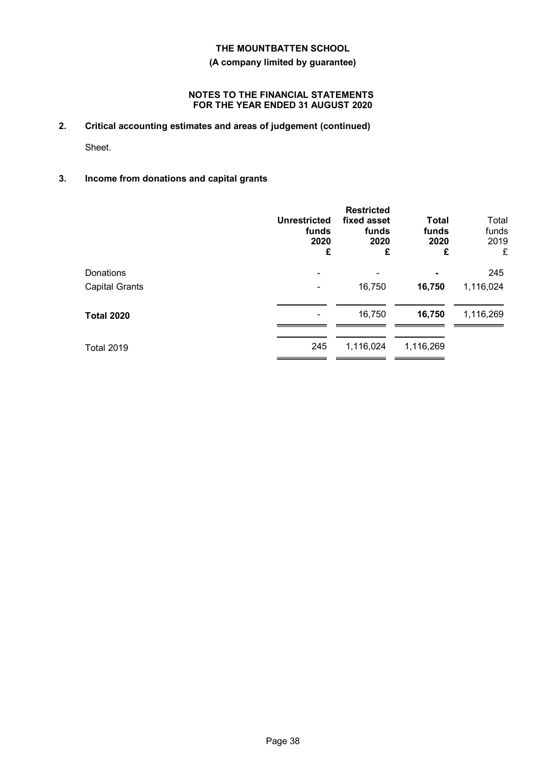#### **(A company limited by guarantee)**

#### **NOTES TO THE FINANCIAL STATEMENTS FOR THE YEAR ENDED 31 AUGUST 2020**

**2. Critical accounting estimates and areas of judgement (continued)**

Sheet.

### **3. Income from donations and capital grants**

|                       | <b>Unrestricted</b><br>funds<br>2020<br>£ | <b>Restricted</b><br>fixed asset<br>funds<br>2020<br>£ | <b>Total</b><br>funds<br>2020<br>£ | Total<br>funds<br>2019<br>£ |
|-----------------------|-------------------------------------------|--------------------------------------------------------|------------------------------------|-----------------------------|
| Donations             | $\equiv$                                  |                                                        |                                    | 245                         |
| <b>Capital Grants</b> |                                           | 16,750                                                 | 16,750                             | 1,116,024                   |
| <b>Total 2020</b>     |                                           | 16,750                                                 | 16,750                             | 1,116,269                   |
| <b>Total 2019</b>     | 245                                       | 1,116,024                                              | 1,116,269                          |                             |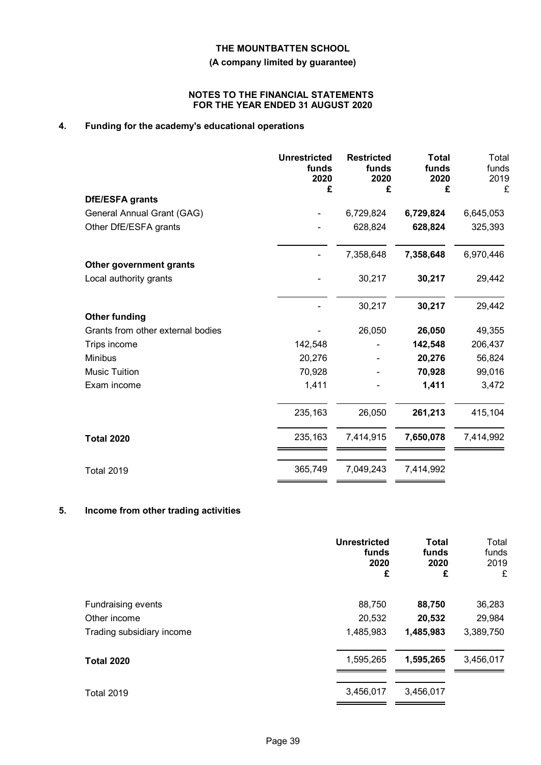**(A company limited by guarantee)**

#### **NOTES TO THE FINANCIAL STATEMENTS FOR THE YEAR ENDED 31 AUGUST 2020**

# **4. Funding for the academy's educational operations**

|                                   | <b>Unrestricted</b><br>funds<br>2020<br>£ | <b>Restricted</b><br>funds<br>2020<br>£ | <b>Total</b><br>funds<br>2020<br>£ | Total<br>funds<br>2019<br>£ |
|-----------------------------------|-------------------------------------------|-----------------------------------------|------------------------------------|-----------------------------|
| <b>DfE/ESFA grants</b>            |                                           |                                         |                                    |                             |
| General Annual Grant (GAG)        |                                           | 6,729,824                               | 6,729,824                          | 6,645,053                   |
| Other DfE/ESFA grants             |                                           | 628,824                                 | 628,824                            | 325,393                     |
|                                   |                                           | 7,358,648                               | 7,358,648                          | 6,970,446                   |
| Other government grants           |                                           |                                         |                                    |                             |
| Local authority grants            |                                           | 30,217                                  | 30,217                             | 29,442                      |
|                                   |                                           | 30,217                                  | 30,217                             | 29,442                      |
| <b>Other funding</b>              |                                           |                                         |                                    |                             |
| Grants from other external bodies |                                           | 26,050                                  | 26,050                             | 49,355                      |
| Trips income                      | 142,548                                   |                                         | 142,548                            | 206,437                     |
| <b>Minibus</b>                    | 20,276                                    |                                         | 20,276                             | 56,824                      |
| <b>Music Tuition</b>              | 70,928                                    |                                         | 70,928                             | 99,016                      |
| Exam income                       | 1,411                                     |                                         | 1,411                              | 3,472                       |
|                                   | 235,163                                   | 26,050                                  | 261,213                            | 415,104                     |
| <b>Total 2020</b>                 | 235,163                                   | 7,414,915                               | 7,650,078                          | 7,414,992                   |
| <b>Total 2019</b>                 | 365,749                                   | 7,049,243                               | 7,414,992                          |                             |
|                                   |                                           |                                         |                                    |                             |

#### **5. Income from other trading activities**

|                           | <b>Unrestricted</b><br>funds<br>2020<br>£ | <b>Total</b><br>funds<br>2020<br>£ | Total<br>funds<br>2019<br>£ |
|---------------------------|-------------------------------------------|------------------------------------|-----------------------------|
| <b>Fundraising events</b> | 88,750                                    | 88,750                             | 36,283                      |
| Other income              | 20,532                                    | 20,532                             | 29,984                      |
| Trading subsidiary income | 1,485,983                                 | 1,485,983                          | 3,389,750                   |
| <b>Total 2020</b>         | 1,595,265                                 | 1,595,265                          | 3,456,017                   |
| <b>Total 2019</b>         | 3,456,017                                 | 3,456,017                          |                             |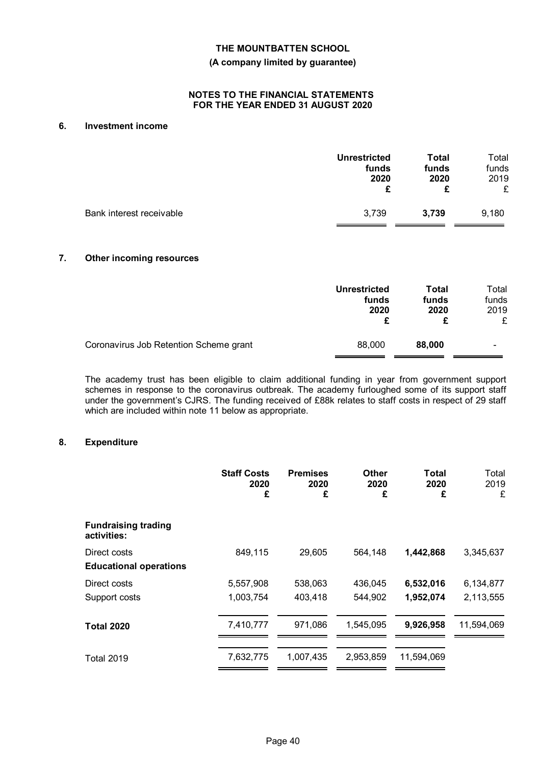#### **(A company limited by guarantee)**

#### **NOTES TO THE FINANCIAL STATEMENTS FOR THE YEAR ENDED 31 AUGUST 2020**

#### **6. Investment income**

|                          | <b>Unrestricted</b> | Total | Total |
|--------------------------|---------------------|-------|-------|
|                          | funds               | funds | funds |
|                          | 2020                | 2020  | 2019  |
|                          | £                   | £     | £     |
| Bank interest receivable | 3,739               | 3.739 | 9,180 |

#### **7. Other incoming resources**

|                                        | <b>Unrestricted</b><br>funds<br>2020 | Total<br>funds<br>2020 | Total<br>funds<br>2019<br>£ |
|----------------------------------------|--------------------------------------|------------------------|-----------------------------|
| Coronavirus Job Retention Scheme grant | 88,000                               | 88,000                 |                             |

The academy trust has been eligible to claim additional funding in year from government support schemes in response to the coronavirus outbreak. The academy furloughed some of its support staff under the government's CJRS. The funding received of £88k relates to staff costs in respect of 29 staff which are included within note 11 below as appropriate.

#### **8. Expenditure**

|                                               | <b>Staff Costs</b><br>2020<br>£ | <b>Premises</b><br>2020<br>£ | <b>Other</b><br>2020<br>£ | Total<br>2020<br>£ | Total<br>2019<br>£ |
|-----------------------------------------------|---------------------------------|------------------------------|---------------------------|--------------------|--------------------|
| <b>Fundraising trading</b><br>activities:     |                                 |                              |                           |                    |                    |
| Direct costs<br><b>Educational operations</b> | 849,115                         | 29,605                       | 564,148                   | 1,442,868          | 3,345,637          |
| Direct costs                                  | 5,557,908                       | 538,063                      | 436,045                   | 6,532,016          | 6,134,877          |
| Support costs                                 | 1,003,754                       | 403,418                      | 544,902                   | 1,952,074          | 2,113,555          |
| <b>Total 2020</b>                             | 7,410,777                       | 971,086                      | 1,545,095                 | 9,926,958          | 11,594,069         |
| <b>Total 2019</b>                             | 7,632,775                       | 1,007,435                    | 2,953,859                 | 11,594,069         |                    |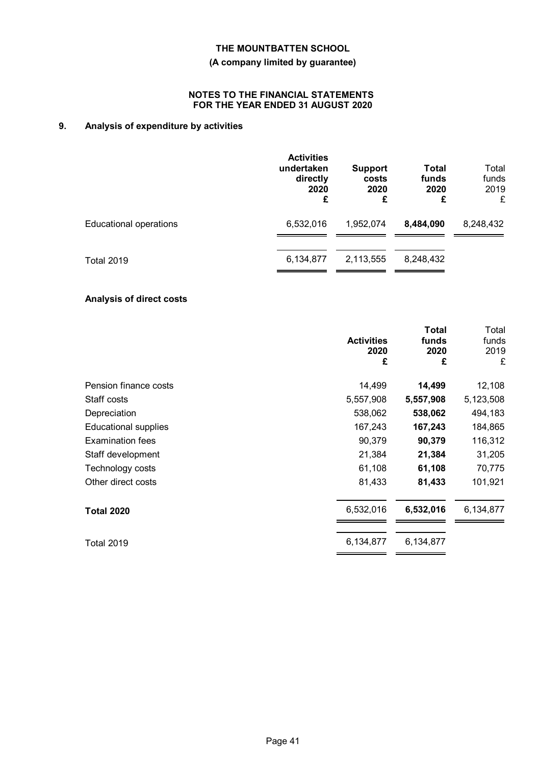### **(A company limited by guarantee)**

#### **NOTES TO THE FINANCIAL STATEMENTS FOR THE YEAR ENDED 31 AUGUST 2020**

# **9. Analysis of expenditure by activities**

|                               | <b>Activities</b><br>undertaken<br>directly<br>2020<br>£ | <b>Support</b><br>costs<br>2020<br>£ | <b>Total</b><br>funds<br>2020<br>£ | Total<br>funds<br>2019<br>£ |
|-------------------------------|----------------------------------------------------------|--------------------------------------|------------------------------------|-----------------------------|
| <b>Educational operations</b> | 6,532,016                                                | 1,952,074                            | 8,484,090                          | 8,248,432                   |
| <b>Total 2019</b>             | 6,134,877                                                | 2,113,555                            | 8,248,432                          |                             |

# **Analysis of direct costs**

|                             | <b>Activities</b><br>2020<br>£ | <b>Total</b><br>funds<br>2020<br>£ | Total<br>funds<br>2019<br>£ |
|-----------------------------|--------------------------------|------------------------------------|-----------------------------|
| Pension finance costs       | 14,499                         | 14,499                             | 12,108                      |
| Staff costs                 | 5,557,908                      | 5,557,908                          | 5,123,508                   |
| Depreciation                | 538,062                        | 538,062                            | 494,183                     |
| <b>Educational supplies</b> | 167,243                        | 167,243                            | 184,865                     |
| <b>Examination fees</b>     | 90,379                         | 90,379                             | 116,312                     |
| Staff development           | 21,384                         | 21,384                             | 31,205                      |
| Technology costs            | 61,108                         | 61,108                             | 70,775                      |
| Other direct costs          | 81,433                         | 81,433                             | 101,921                     |
| <b>Total 2020</b>           | 6,532,016                      | 6,532,016                          | 6,134,877                   |
| <b>Total 2019</b>           | 6,134,877                      | 6,134,877                          |                             |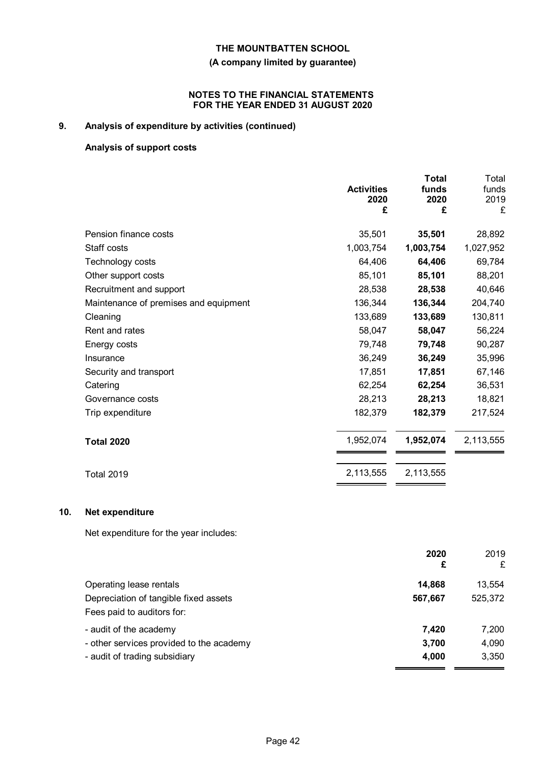### **(A company limited by guarantee)**

#### **NOTES TO THE FINANCIAL STATEMENTS FOR THE YEAR ENDED 31 AUGUST 2020**

# **9. Analysis of expenditure by activities (continued)**

### **Analysis of support costs**

**10.** 

|                                        | <b>Activities</b><br>2020<br>£ | <b>Total</b><br>funds<br>2020<br>£ | Total<br>funds<br>2019<br>£ |
|----------------------------------------|--------------------------------|------------------------------------|-----------------------------|
| Pension finance costs                  | 35,501                         | 35,501                             | 28,892                      |
| Staff costs                            | 1,003,754                      | 1,003,754                          | 1,027,952                   |
| Technology costs                       | 64,406                         | 64,406                             | 69,784                      |
| Other support costs                    | 85,101                         | 85,101                             | 88,201                      |
| Recruitment and support                | 28,538                         | 28,538                             | 40,646                      |
| Maintenance of premises and equipment  | 136,344                        | 136,344                            | 204,740                     |
| Cleaning                               | 133,689                        | 133,689                            | 130,811                     |
| Rent and rates                         | 58,047                         | 58,047                             | 56,224                      |
| Energy costs                           | 79,748                         | 79,748                             | 90,287                      |
| Insurance                              | 36,249                         | 36,249                             | 35,996                      |
| Security and transport                 | 17,851                         | 17,851                             | 67,146                      |
| Catering                               | 62,254                         | 62,254                             | 36,531                      |
| Governance costs                       | 28,213                         | 28,213                             | 18,821                      |
| Trip expenditure                       | 182,379                        | 182,379                            | 217,524                     |
| <b>Total 2020</b>                      | 1,952,074                      | 1,952,074                          | 2,113,555                   |
| <b>Total 2019</b>                      | 2,113,555                      | 2,113,555                          |                             |
| Net expenditure                        |                                |                                    |                             |
| Net expenditure for the year includes: |                                |                                    |                             |
|                                        |                                | 2020<br>£                          | 2019<br>£                   |

| 14,868  | 13,554  |
|---------|---------|
| 567,667 | 525,372 |
|         |         |
| 7.420   | 7.200   |
| 3,700   | 4,090   |
| 4.000   | 3.350   |
|         |         |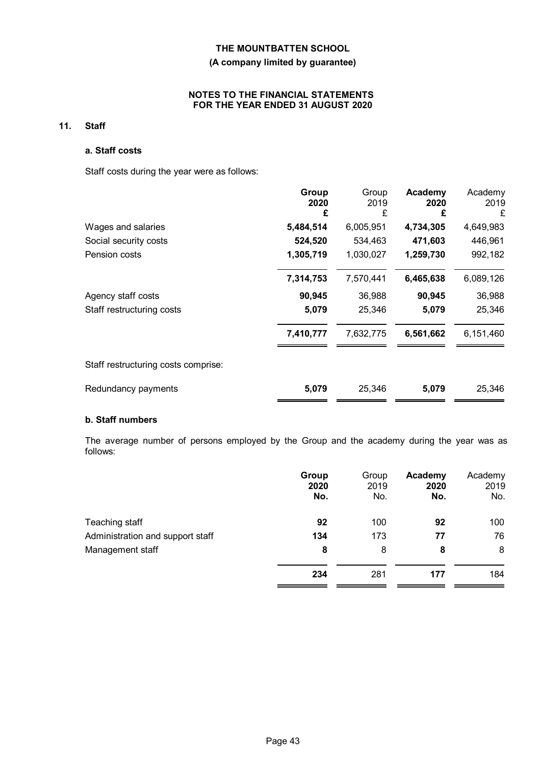#### **(A company limited by guarantee)**

#### **NOTES TO THE FINANCIAL STATEMENTS FOR THE YEAR ENDED 31 AUGUST 2020**

### **11. Staff**

#### **a. Staff costs**

Staff costs during the year were as follows:

|                                     | Group<br>2020<br>£ | Group<br>2019<br>£ | Academy<br>2020<br>£ | Academy<br>2019<br>£ |
|-------------------------------------|--------------------|--------------------|----------------------|----------------------|
| Wages and salaries                  | 5,484,514          | 6,005,951          | 4,734,305            | 4,649,983            |
| Social security costs               | 524,520            | 534,463            | 471,603              | 446,961              |
| Pension costs                       | 1,305,719          | 1,030,027          | 1,259,730            | 992,182              |
|                                     | 7,314,753          | 7,570,441          | 6,465,638            | 6,089,126            |
| Agency staff costs                  | 90,945             | 36,988             | 90,945               | 36,988               |
| Staff restructuring costs           | 5,079              | 25,346             | 5,079                | 25,346               |
|                                     | 7,410,777          | 7,632,775          | 6,561,662            | 6,151,460            |
| Staff restructuring costs comprise: |                    |                    |                      |                      |
| Redundancy payments                 | 5,079              | 25,346             | 5,079                | 25,346               |

# **b. Staff numbers**

The average number of persons employed by the Group and the academy during the year was as follows:

|                                  | Group<br>2020<br>No. | Group<br>2019<br>No. | Academy<br>2020<br>No. | Academy<br>2019<br>No. |
|----------------------------------|----------------------|----------------------|------------------------|------------------------|
| Teaching staff                   | 92                   | 100                  | 92                     | 100                    |
| Administration and support staff | 134                  | 173                  | 77                     | 76                     |
| Management staff                 | 8                    | 8                    | 8                      | 8                      |
|                                  | 234                  | 281                  | 177                    | 184                    |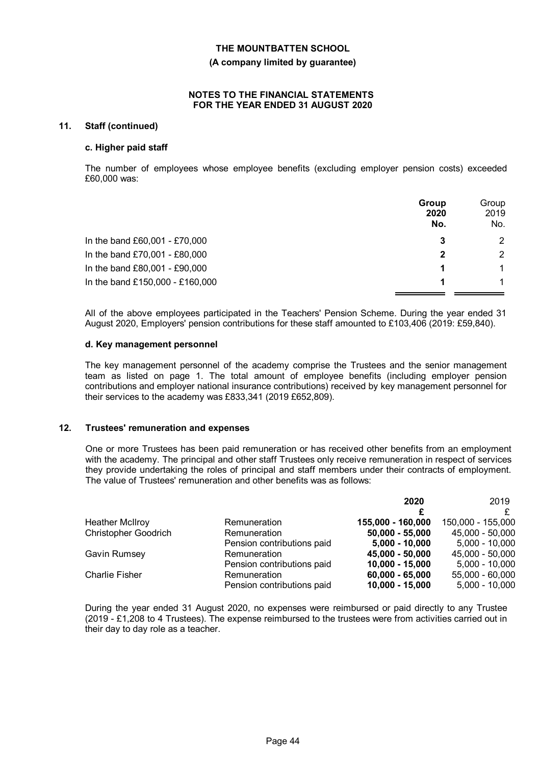#### **(A company limited by guarantee)**

#### **NOTES TO THE FINANCIAL STATEMENTS FOR THE YEAR ENDED 31 AUGUST 2020**

#### **11. Staff (continued)**

#### **c. Higher paid staff**

The number of employees whose employee benefits (excluding employer pension costs) exceeded £60,000 was:

|                                 | Group<br>2020<br>No. | Group<br>2019<br>No. |
|---------------------------------|----------------------|----------------------|
| In the band £60,001 - £70,000   | 3                    | $\overline{2}$       |
| In the band £70,001 - £80,000   | 2                    | 2                    |
| In the band £80,001 - £90,000   |                      |                      |
| In the band £150,000 - £160,000 |                      |                      |

All of the above employees participated in the Teachers' Pension Scheme. During the year ended 31 August 2020, Employers' pension contributions for these staff amounted to £103,406 (2019: £59,840).

#### **d. Key management personnel**

The key management personnel of the academy comprise the Trustees and the senior management team as listed on page 1. The total amount of employee benefits (including employer pension contributions and employer national insurance contributions) received by key management personnel for their services to the academy was £833,341 (2019 £652,809).

#### **12. Trustees' remuneration and expenses**

One or more Trustees has been paid remuneration or has received other benefits from an employment with the academy. The principal and other staff Trustees only receive remuneration in respect of services they provide undertaking the roles of principal and staff members under their contracts of employment. The value of Trustees' remuneration and other benefits was as follows:

|                             |                            | 2020              | 2019              |
|-----------------------------|----------------------------|-------------------|-------------------|
|                             |                            |                   |                   |
| <b>Heather McIlroy</b>      | Remuneration               | 155,000 - 160,000 | 150,000 - 155,000 |
| <b>Christopher Goodrich</b> | Remuneration               | $50,000 - 55,000$ | 45,000 - 50,000   |
|                             | Pension contributions paid | $5,000 - 10,000$  | $5,000 - 10,000$  |
| Gavin Rumsey                | Remuneration               | 45,000 - 50,000   | 45,000 - 50,000   |
|                             | Pension contributions paid | $10,000 - 15,000$ | $5,000 - 10,000$  |
| <b>Charlie Fisher</b>       | Remuneration               | $60,000 - 65,000$ | 55,000 - 60,000   |
|                             | Pension contributions paid | $10,000 - 15,000$ | $5,000 - 10,000$  |

During the year ended 31 August 2020, no expenses were reimbursed or paid directly to any Trustee (2019 - £1,208 to 4 Trustees). The expense reimbursed to the trustees were from activities carried out in their day to day role as a teacher.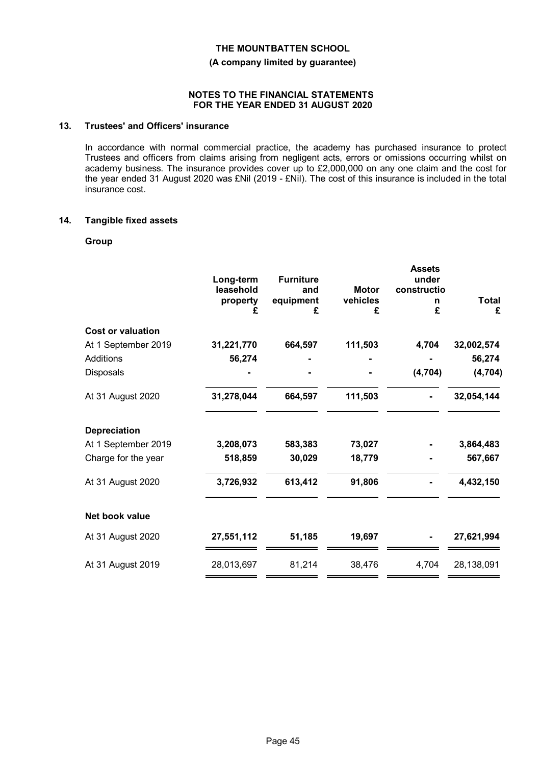**(A company limited by guarantee)**

#### **NOTES TO THE FINANCIAL STATEMENTS FOR THE YEAR ENDED 31 AUGUST 2020**

#### **13. Trustees' and Officers' insurance**

In accordance with normal commercial practice, the academy has purchased insurance to protect Trustees and officers from claims arising from negligent acts, errors or omissions occurring whilst on academy business. The insurance provides cover up to £2,000,000 on any one claim and the cost for the year ended 31 August 2020 was £Nil (2019 - £Nil). The cost of this insurance is included in the total insurance cost.

#### **14. Tangible fixed assets**

#### **Group**

|                          |            |                  |              | <b>Assets</b> |              |
|--------------------------|------------|------------------|--------------|---------------|--------------|
|                          | Long-term  | <b>Furniture</b> |              | under         |              |
|                          | leasehold  | and              | <b>Motor</b> | constructio   |              |
|                          | property   | equipment        | vehicles     | n             | <b>Total</b> |
|                          |            | £                | £            | £             | £            |
| <b>Cost or valuation</b> |            |                  |              |               |              |
| At 1 September 2019      | 31,221,770 | 664,597          | 111,503      | 4,704         | 32,002,574   |
| <b>Additions</b>         | 56,274     |                  |              |               | 56,274       |
| Disposals                |            |                  |              | (4, 704)      | (4, 704)     |
| At 31 August 2020        | 31,278,044 | 664,597          | 111,503      |               | 32,054,144   |
| <b>Depreciation</b>      |            |                  |              |               |              |
| At 1 September 2019      | 3,208,073  | 583,383          | 73,027       |               | 3,864,483    |
| Charge for the year      | 518,859    | 30,029           | 18,779       |               | 567,667      |
| At 31 August 2020        | 3,726,932  | 613,412          | 91,806       |               | 4,432,150    |
| Net book value           |            |                  |              |               |              |
| At 31 August 2020        | 27,551,112 | 51,185           | 19,697       |               | 27,621,994   |
| At 31 August 2019        | 28,013,697 | 81,214           | 38,476       | 4,704         | 28,138,091   |
|                          |            |                  |              |               |              |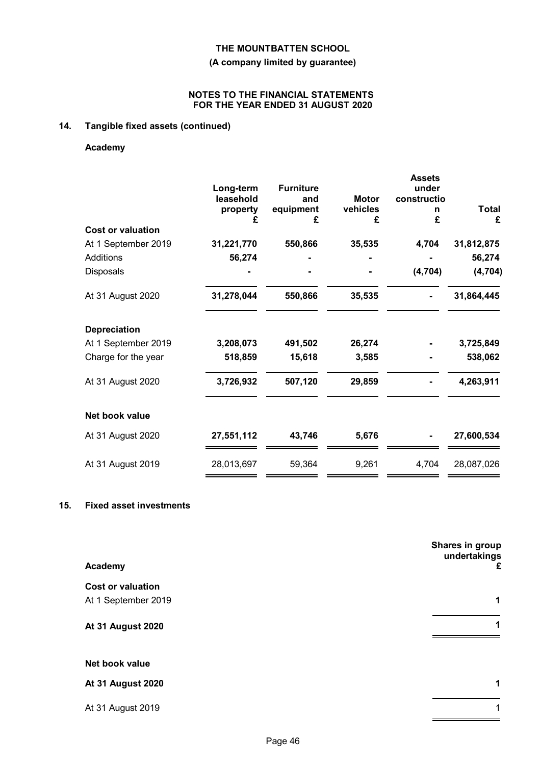### **(A company limited by guarantee)**

#### **NOTES TO THE FINANCIAL STATEMENTS FOR THE YEAR ENDED 31 AUGUST 2020**

# **14. Tangible fixed assets (continued)**

#### **Academy**

|                          |            |                  |               | <b>Assets</b> |                   |
|--------------------------|------------|------------------|---------------|---------------|-------------------|
|                          | Long-term  | <b>Furniture</b> |               | under         |                   |
|                          | leasehold  | and              | <b>Motor</b>  | constructio   |                   |
|                          | property   | equipment<br>£   | vehicles<br>£ | n<br>£        | <b>Total</b><br>£ |
| <b>Cost or valuation</b> |            |                  |               |               |                   |
| At 1 September 2019      | 31,221,770 | 550,866          | 35,535        | 4,704         | 31,812,875        |
| Additions                | 56,274     |                  |               |               | 56,274            |
| <b>Disposals</b>         |            |                  |               | (4, 704)      | (4, 704)          |
| At 31 August 2020        | 31,278,044 | 550,866          | 35,535        |               | 31,864,445        |
| <b>Depreciation</b>      |            |                  |               |               |                   |
| At 1 September 2019      | 3,208,073  | 491,502          | 26,274        |               | 3,725,849         |
| Charge for the year      | 518,859    | 15,618           | 3,585         |               | 538,062           |
| At 31 August 2020        | 3,726,932  | 507,120          | 29,859        |               | 4,263,911         |
| Net book value           |            |                  |               |               |                   |
| At 31 August 2020        | 27,551,112 | 43,746           | 5,676         |               | 27,600,534        |
| At 31 August 2019        | 28,013,697 | 59,364           | 9,261         | 4,704         | 28,087,026        |

#### **15. Fixed asset investments**

| Academy                  | Shares in group<br>undertakings<br>£ |
|--------------------------|--------------------------------------|
| <b>Cost or valuation</b> |                                      |
| At 1 September 2019      | 1                                    |
| <b>At 31 August 2020</b> | 1                                    |
| Net book value           |                                      |
| <b>At 31 August 2020</b> | 1                                    |
| At 31 August 2019        | 1                                    |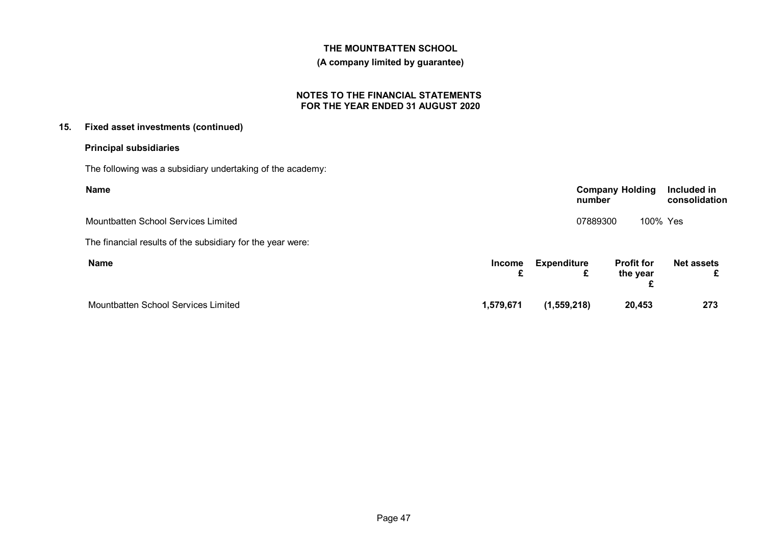#### **(A company limited by guarantee)**

#### **NOTES TO THE FINANCIAL STATEMENTS FOR THE YEAR ENDED 31 AUGUST 2020**

### **15. Fixed asset investments (continued)**

### **Principal subsidiaries**

The following was a subsidiary undertaking of the academy:

| <b>Name</b>                                                |             |                    | number   | <b>Company Holding</b>        | Included in<br>consolidation |
|------------------------------------------------------------|-------------|--------------------|----------|-------------------------------|------------------------------|
| Mountbatten School Services Limited                        |             |                    | 07889300 | 100% Yes                      |                              |
| The financial results of the subsidiary for the year were: |             |                    |          |                               |                              |
| <b>Name</b>                                                | Income<br>£ | <b>Expenditure</b> | £        | <b>Profit for</b><br>the year | <b>Net assets</b>            |
| Mountbatten School Services Limited                        | 1,579,671   | (1, 559, 218)      |          | 20,453                        | 273                          |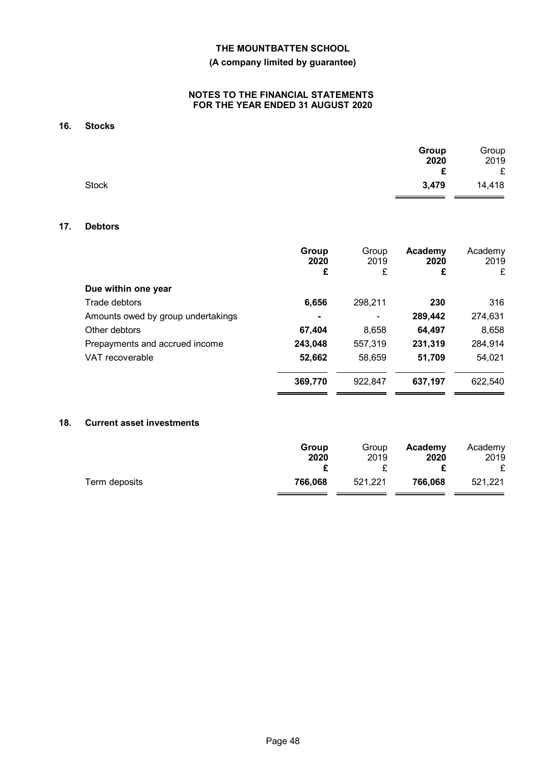### **(A company limited by guarantee)**

#### **NOTES TO THE FINANCIAL STATEMENTS FOR THE YEAR ENDED 31 AUGUST 2020**

# **16. Stocks**

|              | Group | Group  |
|--------------|-------|--------|
|              | 2020  | 2019   |
|              | £     | £      |
| <b>Stock</b> | 3,479 | 14,418 |

#### **17. Debtors**

|                                    | Group<br>2020<br>£ | Group<br>2019<br>£ | Academy<br>2020<br>£ | Academy<br>2019<br>£ |
|------------------------------------|--------------------|--------------------|----------------------|----------------------|
| Due within one year                |                    |                    |                      |                      |
| Trade debtors                      | 6,656              | 298,211            | 230                  | 316                  |
| Amounts owed by group undertakings | ۰                  | $\blacksquare$     | 289,442              | 274,631              |
| Other debtors                      | 67,404             | 8,658              | 64,497               | 8,658                |
| Prepayments and accrued income     | 243,048            | 557,319            | 231,319              | 284,914              |
| VAT recoverable                    | 52,662             | 58,659             | 51,709               | 54,021               |
|                                    | 369,770            | 922.847            | 637,197              | 622,540              |
|                                    |                    |                    |                      |                      |

#### **18. Current asset investments**

|               | Group   | Group   | Academy | Academy |
|---------------|---------|---------|---------|---------|
|               | 2020    | 2019    | 2020    | 2019    |
| Term deposits | 766.068 | 521.221 | 766,068 | 521,221 |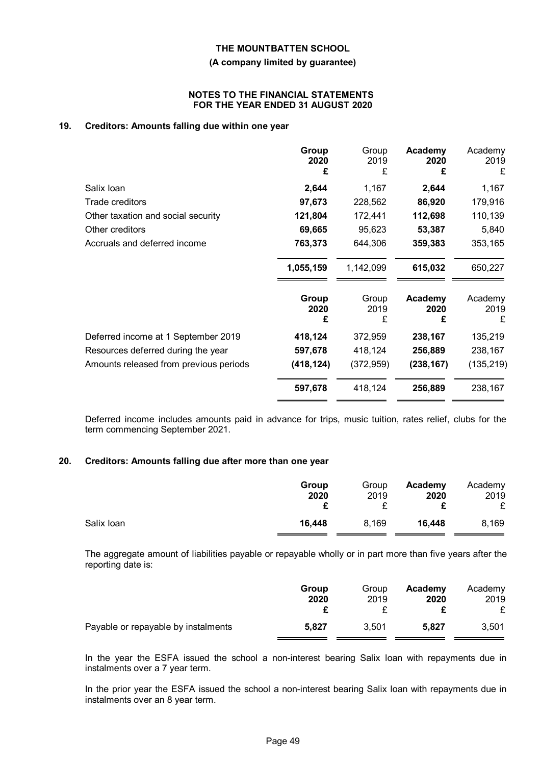#### **(A company limited by guarantee)**

#### **NOTES TO THE FINANCIAL STATEMENTS FOR THE YEAR ENDED 31 AUGUST 2020**

#### **19. Creditors: Amounts falling due within one year**

|                                        | Group<br>2020<br>£ | Group<br>2019<br>£ | Academy<br>2020<br>£ | Academy<br>2019<br>£ |
|----------------------------------------|--------------------|--------------------|----------------------|----------------------|
| Salix Ioan                             | 2,644              | 1,167              | 2,644                | 1,167                |
| Trade creditors                        | 97,673             | 228,562            | 86,920               | 179,916              |
| Other taxation and social security     | 121,804            | 172,441            | 112,698              | 110,139              |
| Other creditors                        | 69,665             | 95,623             | 53,387               | 5,840                |
| Accruals and deferred income           | 763,373            | 644,306            | 359,383              | 353,165              |
|                                        | 1,055,159          | 1,142,099          | 615,032              | 650,227              |
|                                        | Group<br>2020<br>£ | Group<br>2019<br>£ | Academy<br>2020<br>£ | Academy<br>2019<br>£ |
| Deferred income at 1 September 2019    | 418,124            | 372,959            | 238,167              | 135,219              |
| Resources deferred during the year     | 597,678            | 418,124            | 256,889              | 238,167              |
| Amounts released from previous periods | (418, 124)         | (372, 959)         | (238, 167)           | (135, 219)           |
|                                        | 597,678            | 418,124            | 256,889              | 238,167              |

Deferred income includes amounts paid in advance for trips, music tuition, rates relief, clubs for the term commencing September 2021.

#### **20. Creditors: Amounts falling due after more than one year**

|            | Group<br>2020 | Group<br>2019 | Academy<br>2020 | Academy<br>2019<br>£ |
|------------|---------------|---------------|-----------------|----------------------|
| Salix Ioan | 16,448        | 8,169         | 16,448          | 8,169                |

The aggregate amount of liabilities payable or repayable wholly or in part more than five years after the reporting date is:

|                                     | Group | Group | Academy | Academy |
|-------------------------------------|-------|-------|---------|---------|
|                                     | 2020  | 2019  | 2020    | 2019    |
| Payable or repayable by instalments | 5.827 | 3,501 | 5.827   | 3.501   |

In the year the ESFA issued the school a non-interest bearing Salix loan with repayments due in instalments over a 7 year term.

In the prior year the ESFA issued the school a non-interest bearing Salix loan with repayments due in instalments over an 8 year term.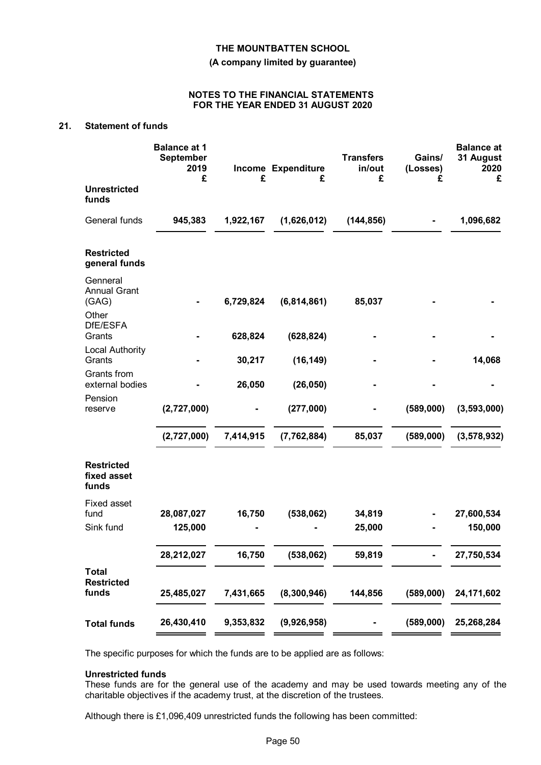**(A company limited by guarantee)**

#### **NOTES TO THE FINANCIAL STATEMENTS FOR THE YEAR ENDED 31 AUGUST 2020**

### **21. Statement of funds**

|                                            | <b>Balance at 1</b><br><b>September</b><br>2019<br>£ | £         | Income Expenditure<br>£ | <b>Transfers</b><br>in/out<br>£ | Gains/<br>(Losses)<br>£ | <b>Balance at</b><br>31 August<br>2020<br>£ |
|--------------------------------------------|------------------------------------------------------|-----------|-------------------------|---------------------------------|-------------------------|---------------------------------------------|
| <b>Unrestricted</b><br>funds               |                                                      |           |                         |                                 |                         |                                             |
| General funds                              | 945,383                                              | 1,922,167 | (1,626,012)             | (144, 856)                      |                         | 1,096,682                                   |
| <b>Restricted</b><br>general funds         |                                                      |           |                         |                                 |                         |                                             |
| Genneral<br><b>Annual Grant</b><br>(GAG)   |                                                      | 6,729,824 | (6,814,861)             | 85,037                          |                         |                                             |
| Other<br>DfE/ESFA<br>Grants                |                                                      | 628,824   | (628, 824)              |                                 |                         |                                             |
| <b>Local Authority</b><br>Grants           |                                                      | 30,217    | (16, 149)               |                                 |                         | 14,068                                      |
| Grants from<br>external bodies             |                                                      | 26,050    | (26, 050)               |                                 |                         |                                             |
| Pension<br>reserve                         | (2,727,000)                                          |           | (277,000)               |                                 | (589,000)               | (3,593,000)                                 |
|                                            | (2,727,000)                                          | 7,414,915 | (7, 762, 884)           | 85,037                          | (589,000)               | (3, 578, 932)                               |
| <b>Restricted</b><br>fixed asset<br>funds  |                                                      |           |                         |                                 |                         |                                             |
| <b>Fixed asset</b><br>fund                 | 28,087,027                                           | 16,750    | (538,062)               | 34,819                          |                         | 27,600,534                                  |
| Sink fund                                  | 125,000                                              |           |                         | 25,000                          |                         | 150,000                                     |
|                                            | 28,212,027                                           | 16,750    | (538,062)               | 59,819                          |                         | 27,750,534                                  |
| <b>Total</b><br><b>Restricted</b><br>funds | 25,485,027                                           | 7,431,665 | (8,300,946)             | 144,856                         | (589,000)               | 24,171,602                                  |
| <b>Total funds</b>                         | 26,430,410                                           | 9,353,832 | (9,926,958)             |                                 | (589,000)               | 25,268,284                                  |

The specific purposes for which the funds are to be applied are as follows:

#### **Unrestricted funds**

These funds are for the general use of the academy and may be used towards meeting any of the charitable objectives if the academy trust, at the discretion of the trustees.

Although there is £1,096,409 unrestricted funds the following has been committed: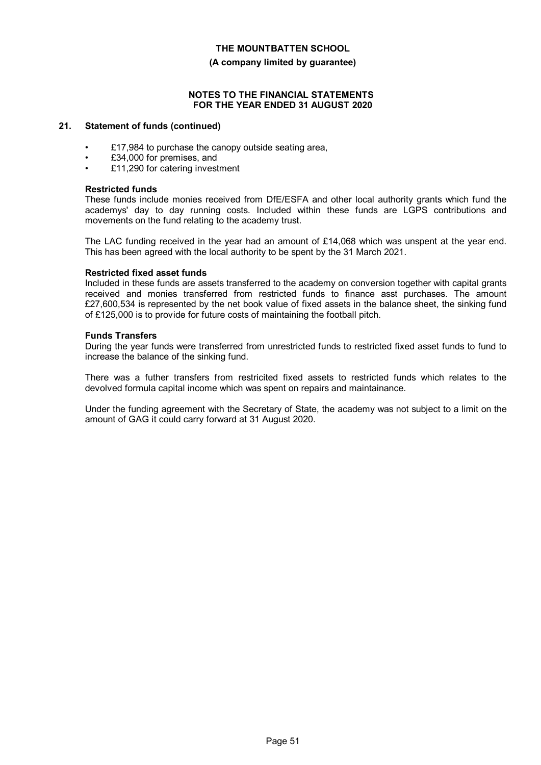#### **(A company limited by guarantee)**

#### **NOTES TO THE FINANCIAL STATEMENTS FOR THE YEAR ENDED 31 AUGUST 2020**

#### **21. Statement of funds (continued)**

- £17,984 to purchase the canopy outside seating area,
- £34,000 for premises, and
- £11,290 for catering investment

#### **Restricted funds**

These funds include monies received from DfE/ESFA and other local authority grants which fund the academys' day to day running costs. Included within these funds are LGPS contributions and movements on the fund relating to the academy trust.

The LAC funding received in the year had an amount of £14,068 which was unspent at the year end. This has been agreed with the local authority to be spent by the 31 March 2021.

#### **Restricted fixed asset funds**

Included in these funds are assets transferred to the academy on conversion together with capital grants received and monies transferred from restricted funds to finance asst purchases. The amount £27,600,534 is represented by the net book value of fixed assets in the balance sheet, the sinking fund of £125,000 is to provide for future costs of maintaining the football pitch.

#### **Funds Transfers**

During the year funds were transferred from unrestricted funds to restricted fixed asset funds to fund to increase the balance of the sinking fund.

There was a futher transfers from restricited fixed assets to restricted funds which relates to the devolved formula capital income which was spent on repairs and maintainance.

Under the funding agreement with the Secretary of State, the academy was not subject to a limit on the amount of GAG it could carry forward at 31 August 2020.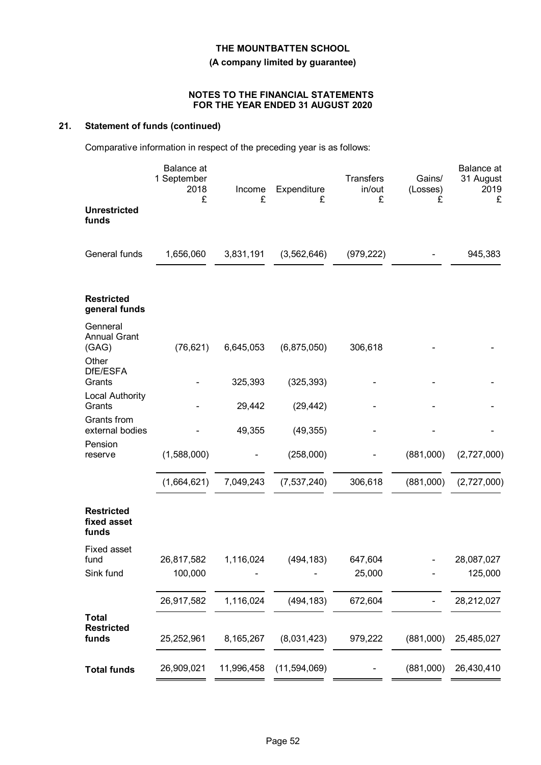# **THE MOUNTBATTEN SCHOOL (A company limited by guarantee)**

#### **NOTES TO THE FINANCIAL STATEMENTS FOR THE YEAR ENDED 31 AUGUST 2020**

# **21. Statement of funds (continued)**

Comparative information in respect of the preceding year is as follows:

|                                            | <b>Balance</b> at<br>1 September<br>2018<br>£ | Income<br>£ | Expenditure<br>£ | <b>Transfers</b><br>in/out<br>£ | Gains/<br>(Losses)<br>£ | Balance at<br>31 August<br>2019<br>£ |
|--------------------------------------------|-----------------------------------------------|-------------|------------------|---------------------------------|-------------------------|--------------------------------------|
| <b>Unrestricted</b><br>funds               |                                               |             |                  |                                 |                         |                                      |
| General funds                              | 1,656,060                                     | 3,831,191   | (3, 562, 646)    | (979, 222)                      |                         | 945,383                              |
| <b>Restricted</b><br>general funds         |                                               |             |                  |                                 |                         |                                      |
| Genneral<br><b>Annual Grant</b><br>(GAG)   | (76, 621)                                     | 6,645,053   | (6,875,050)      | 306,618                         |                         |                                      |
| Other<br>DfE/ESFA<br>Grants                |                                               | 325,393     | (325, 393)       |                                 |                         |                                      |
| <b>Local Authority</b><br>Grants           |                                               | 29,442      | (29, 442)        |                                 |                         |                                      |
| Grants from<br>external bodies             |                                               | 49,355      | (49, 355)        |                                 |                         |                                      |
| Pension<br>reserve                         | (1,588,000)                                   |             | (258,000)        |                                 | (881,000)               | (2,727,000)                          |
|                                            | (1,664,621)                                   | 7,049,243   | (7, 537, 240)    | 306,618                         | (881,000)               | (2,727,000)                          |
| <b>Restricted</b><br>fixed asset<br>funds  |                                               |             |                  |                                 |                         |                                      |
| <b>Fixed asset</b><br>fund                 | 26,817,582                                    | 1,116,024   | (494, 183)       | 647,604                         |                         | 28,087,027                           |
| Sink fund                                  | 100,000                                       |             |                  | 25,000                          |                         | 125,000                              |
|                                            | 26,917,582                                    | 1,116,024   | (494, 183)       | 672,604                         |                         | 28,212,027                           |
| <b>Total</b><br><b>Restricted</b><br>funds | 25,252,961                                    | 8,165,267   | (8,031,423)      | 979,222                         | (881,000)               | 25,485,027                           |
| <b>Total funds</b>                         | 26,909,021                                    | 11,996,458  | (11, 594, 069)   |                                 | (881,000)               | 26,430,410                           |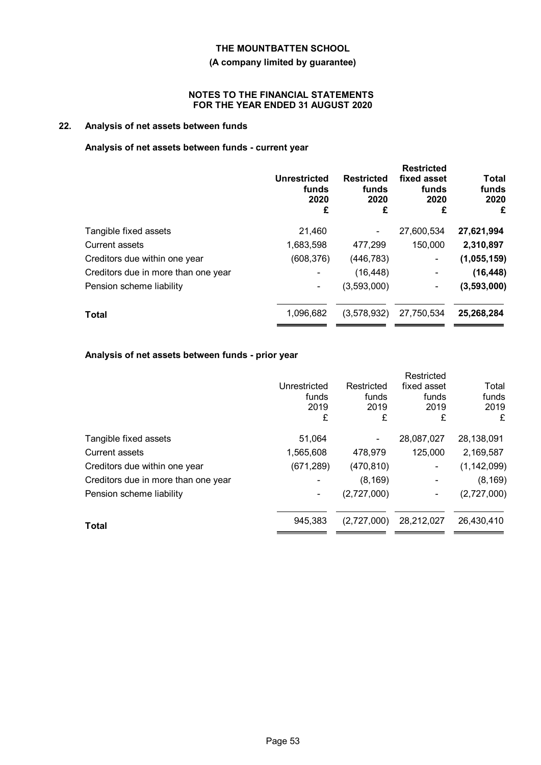#### **(A company limited by guarantee)**

#### **NOTES TO THE FINANCIAL STATEMENTS FOR THE YEAR ENDED 31 AUGUST 2020**

# **22. Analysis of net assets between funds**

### **Analysis of net assets between funds - current year**

|                                     | <b>Unrestricted</b><br>funds<br>2020<br>£ | <b>Restricted</b><br>funds<br>2020<br>£ | <b>Restricted</b><br>fixed asset<br>funds<br>2020<br>£ | Total<br>funds<br>2020<br>£ |
|-------------------------------------|-------------------------------------------|-----------------------------------------|--------------------------------------------------------|-----------------------------|
| Tangible fixed assets               | 21,460                                    |                                         | 27,600,534                                             | 27,621,994                  |
| Current assets                      | 1,683,598                                 | 477,299                                 | 150,000                                                | 2,310,897                   |
| Creditors due within one year       | (608, 376)                                | (446, 783)                              | $\overline{\phantom{a}}$                               | (1,055,159)                 |
| Creditors due in more than one year |                                           | (16, 448)                               | $\overline{\phantom{a}}$                               | (16, 448)                   |
| Pension scheme liability            |                                           | (3,593,000)                             | $\blacksquare$                                         | (3,593,000)                 |
| <b>Total</b>                        | 1,096,682                                 | (3,578,932)                             | 27,750,534                                             | 25,268,284                  |
|                                     |                                           |                                         |                                                        |                             |

# **Analysis of net assets between funds - prior year**

|                                     |              |             | Restricted  |               |
|-------------------------------------|--------------|-------------|-------------|---------------|
|                                     | Unrestricted | Restricted  | fixed asset | Total         |
|                                     | funds        | funds       | funds       | funds         |
|                                     | 2019         | 2019        | 2019        | 2019          |
|                                     | £            | £           | £           | £             |
| Tangible fixed assets               | 51,064       |             | 28,087,027  | 28,138,091    |
| <b>Current assets</b>               | 1,565,608    | 478,979     | 125,000     | 2,169,587     |
| Creditors due within one year       | (671, 289)   | (470, 810)  |             | (1, 142, 099) |
| Creditors due in more than one year |              | (8, 169)    |             | (8, 169)      |
| Pension scheme liability            | ٠            | (2,727,000) |             | (2,727,000)   |
|                                     | 945,383      | (2,727,000) | 28,212,027  | 26,430,410    |
| Total                               |              |             |             |               |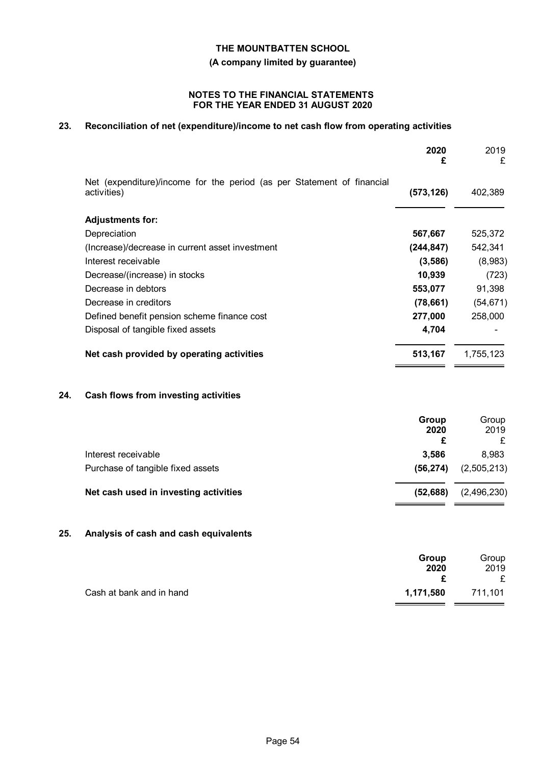**(A company limited by guarantee)**

#### **NOTES TO THE FINANCIAL STATEMENTS FOR THE YEAR ENDED 31 AUGUST 2020**

# **23. Reconciliation of net (expenditure)/income to net cash flow from operating activities**

|     |                                                                                       | 2020<br>£                 | 2019<br>£          |
|-----|---------------------------------------------------------------------------------------|---------------------------|--------------------|
|     | Net (expenditure)/income for the period (as per Statement of financial<br>activities) | (573, 126)                | 402,389            |
|     | <b>Adjustments for:</b>                                                               |                           |                    |
|     | Depreciation                                                                          | 567,667                   | 525,372            |
|     | (Increase)/decrease in current asset investment                                       | (244, 847)                | 542,341            |
|     | Interest receivable                                                                   | (3,586)                   | (8,983)            |
|     | Decrease/(increase) in stocks                                                         | 10,939                    | (723)              |
|     | Decrease in debtors                                                                   | 553,077                   | 91,398             |
|     | Decrease in creditors                                                                 | (78, 661)                 | (54, 671)          |
|     | Defined benefit pension scheme finance cost                                           | 277,000                   | 258,000            |
|     | Disposal of tangible fixed assets                                                     | 4,704                     |                    |
|     | Net cash provided by operating activities                                             | 513,167                   | 1,755,123          |
| 24. | Cash flows from investing activities                                                  |                           |                    |
|     |                                                                                       | <b>Group</b><br>2020<br>£ | Group<br>2019<br>£ |
|     | Interest receivable                                                                   | 3,586                     | 8,983              |
|     | Purchase of tangible fixed assets                                                     | (56, 274)                 | (2,505,213)        |
|     | Net cash used in investing activities                                                 | (52, 688)                 | (2,496,230)        |

# **25. Analysis of cash and cash equivalents**

|                          | Group     | Group   |
|--------------------------|-----------|---------|
|                          | 2020      | 2019    |
|                          |           |         |
| Cash at bank and in hand | 1,171,580 | 711,101 |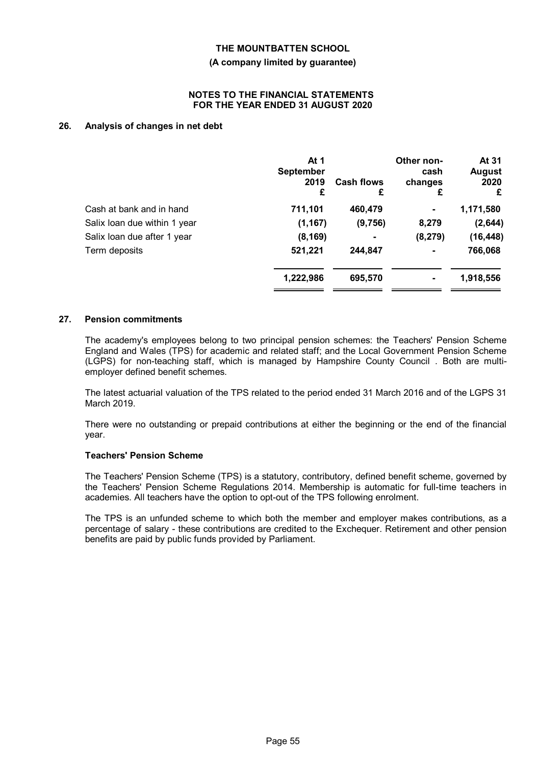#### **(A company limited by guarantee)**

#### **NOTES TO THE FINANCIAL STATEMENTS FOR THE YEAR ENDED 31 AUGUST 2020**

#### **26. Analysis of changes in net debt**

|                              | At $1$<br><b>September</b><br>2019<br>£ | <b>Cash flows</b><br>£ | Other non-<br>cash<br>changes<br>£ | At 31<br><b>August</b><br>2020<br>£ |
|------------------------------|-----------------------------------------|------------------------|------------------------------------|-------------------------------------|
| Cash at bank and in hand     | 711,101                                 | 460,479                | ٠                                  | 1,171,580                           |
| Salix loan due within 1 year | (1, 167)                                | (9,756)                | 8,279                              | (2,644)                             |
| Salix loan due after 1 year  | (8, 169)                                |                        | (8, 279)                           | (16, 448)                           |
| Term deposits                | 521,221                                 | 244,847                | ۰                                  | 766,068                             |
|                              | 1,222,986                               | 695,570                |                                    | 1,918,556                           |

#### **27. Pension commitments**

The academy's employees belong to two principal pension schemes: the Teachers' Pension Scheme England and Wales (TPS) for academic and related staff; and the Local Government Pension Scheme (LGPS) for non-teaching staff, which is managed by Hampshire County Council . Both are multiemployer defined benefit schemes.

The latest actuarial valuation of the TPS related to the period ended 31 March 2016 and of the LGPS 31 March 2019.

There were no outstanding or prepaid contributions at either the beginning or the end of the financial year.

#### **Teachers' Pension Scheme**

The Teachers' Pension Scheme (TPS) is a statutory, contributory, defined benefit scheme, governed by the Teachers' Pension Scheme Regulations 2014. Membership is automatic for full-time teachers in academies. All teachers have the option to opt-out of the TPS following enrolment.

The TPS is an unfunded scheme to which both the member and employer makes contributions, as a percentage of salary - these contributions are credited to the Exchequer. Retirement and other pension benefits are paid by public funds provided by Parliament.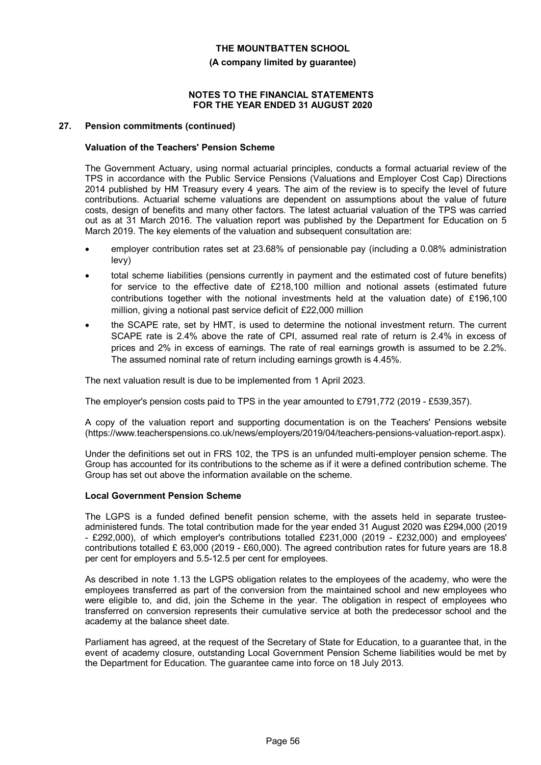#### **(A company limited by guarantee)**

#### **NOTES TO THE FINANCIAL STATEMENTS FOR THE YEAR ENDED 31 AUGUST 2020**

#### **27. Pension commitments (continued)**

#### **Valuation of the Teachers' Pension Scheme**

The Government Actuary, using normal actuarial principles, conducts a formal actuarial review of the TPS in accordance with the Public Service Pensions (Valuations and Employer Cost Cap) Directions 2014 published by HM Treasury every 4 years. The aim of the review is to specify the level of future contributions. Actuarial scheme valuations are dependent on assumptions about the value of future costs, design of benefits and many other factors. The latest actuarial valuation of the TPS was carried out as at 31 March 2016. The valuation report was published by the Department for Education on 5 March 2019. The key elements of the valuation and subsequent consultation are:

- employer contribution rates set at 23.68% of pensionable pay (including a 0.08% administration levy)
- total scheme liabilities (pensions currently in payment and the estimated cost of future benefits) for service to the effective date of £218,100 million and notional assets (estimated future contributions together with the notional investments held at the valuation date) of £196,100 million, giving a notional past service deficit of £22,000 million
- the SCAPE rate, set by HMT, is used to determine the notional investment return. The current SCAPE rate is 2.4% above the rate of CPI, assumed real rate of return is 2.4% in excess of prices and 2% in excess of earnings. The rate of real earnings growth is assumed to be 2.2%. The assumed nominal rate of return including earnings growth is 4.45%.

The next valuation result is due to be implemented from 1 April 2023.

The employer's pension costs paid to TPS in the year amounted to £791,772 (2019 - £539,357).

A copy of the valuation report and supporting documentation is on the Teachers' Pensions website (https://www.teacherspensions.co.uk/news/employers/2019/04/teachers-pensions-valuation-report.aspx).

Under the definitions set out in FRS 102, the TPS is an unfunded multi-employer pension scheme. The Group has accounted for its contributions to the scheme as if it were a defined contribution scheme. The Group has set out above the information available on the scheme.

#### **Local Government Pension Scheme**

The LGPS is a funded defined benefit pension scheme, with the assets held in separate trusteeadministered funds. The total contribution made for the year ended 31 August 2020 was £294,000 (2019 - £292,000), of which employer's contributions totalled £231,000 (2019 - £232,000) and employees' contributions totalled £ 63,000 (2019 - £60,000). The agreed contribution rates for future years are 18.8 per cent for employers and 5.5-12.5 per cent for employees.

As described in note 1.13 the LGPS obligation relates to the employees of the academy, who were the employees transferred as part of the conversion from the maintained school and new employees who were eligible to, and did, join the Scheme in the year. The obligation in respect of employees who transferred on conversion represents their cumulative service at both the predecessor school and the academy at the balance sheet date.

Parliament has agreed, at the request of the Secretary of State for Education, to a guarantee that, in the event of academy closure, outstanding Local Government Pension Scheme liabilities would be met by the Department for Education. The guarantee came into force on 18 July 2013.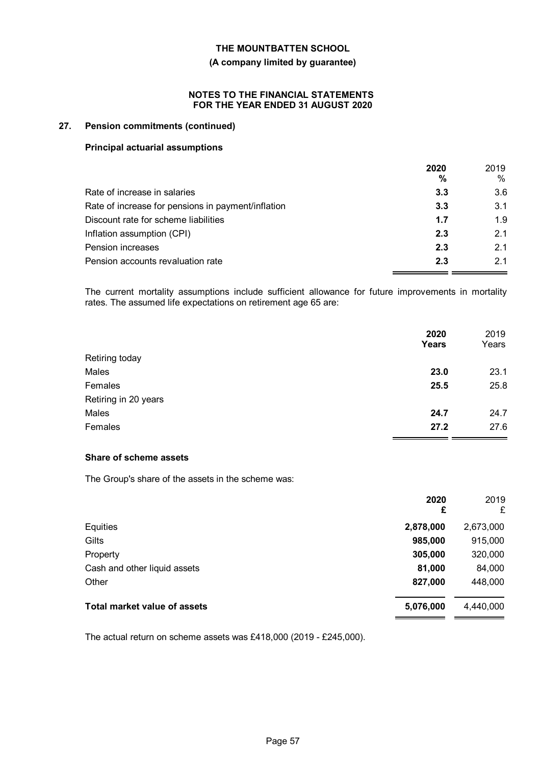#### **(A company limited by guarantee)**

#### **NOTES TO THE FINANCIAL STATEMENTS FOR THE YEAR ENDED 31 AUGUST 2020**

#### **27. Pension commitments (continued)**

#### **Principal actuarial assumptions**

|                                                    | 2020<br>% | 2019<br>$\%$ |
|----------------------------------------------------|-----------|--------------|
| Rate of increase in salaries                       | 3.3       | 3.6          |
| Rate of increase for pensions in payment/inflation | 3.3       | 3.1          |
| Discount rate for scheme liabilities               | 1.7       | 1.9          |
| Inflation assumption (CPI)                         | 2.3       | 2.1          |
| Pension increases                                  | 2.3       | 2.1          |
| Pension accounts revaluation rate                  | 2.3       | 21           |

The current mortality assumptions include sufficient allowance for future improvements in mortality rates. The assumed life expectations on retirement age 65 are:

|                      | 2020<br>Years | 2019<br>Years |
|----------------------|---------------|---------------|
| Retiring today       |               |               |
| Males                | 23.0          | 23.1          |
| Females              | 25.5          | 25.8          |
| Retiring in 20 years |               |               |
| Males                | 24.7          | 24.7          |
| Females              | 27.2          | 27.6          |

### **Share of scheme assets**

The Group's share of the assets in the scheme was:

|                                     | 2020<br>£ | 2019<br>£ |
|-------------------------------------|-----------|-----------|
| Equities                            | 2,878,000 | 2,673,000 |
| Gilts                               | 985,000   | 915,000   |
| Property                            | 305,000   | 320,000   |
| Cash and other liquid assets        | 81,000    | 84,000    |
| Other                               | 827,000   | 448,000   |
| <b>Total market value of assets</b> | 5,076,000 | 4,440,000 |

The actual return on scheme assets was £418,000 (2019 - £245,000).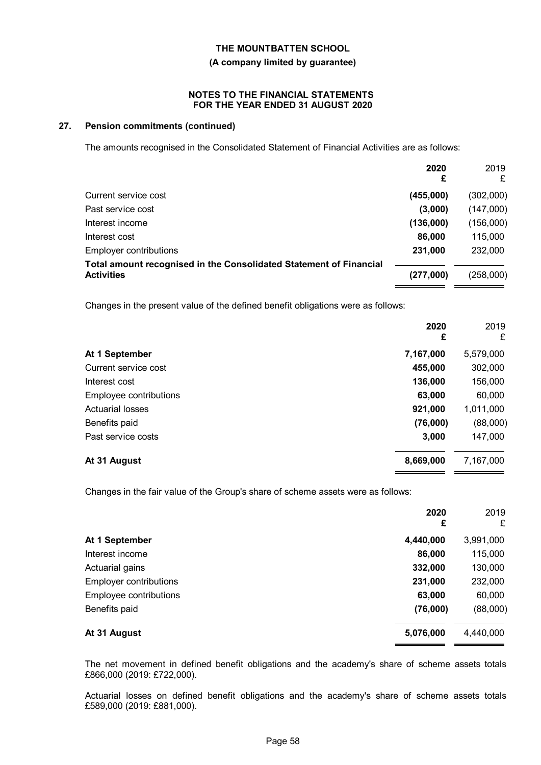# **THE MOUNTBATTEN SCHOOL (A company limited by guarantee)**

#### **NOTES TO THE FINANCIAL STATEMENTS FOR THE YEAR ENDED 31 AUGUST 2020**

#### **27. Pension commitments (continued)**

The amounts recognised in the Consolidated Statement of Financial Activities are as follows:

|                                                                                         | 2020<br>£ | 2019<br>£ |
|-----------------------------------------------------------------------------------------|-----------|-----------|
| Current service cost                                                                    | (455,000) | (302,000) |
| Past service cost                                                                       | (3,000)   | (147,000) |
| Interest income                                                                         | (136,000) | (156,000) |
| Interest cost                                                                           | 86,000    | 115,000   |
| Employer contributions                                                                  | 231,000   | 232,000   |
| Total amount recognised in the Consolidated Statement of Financial<br><b>Activities</b> | (277,000) | (258,000) |

Changes in the present value of the defined benefit obligations were as follows:

|                         | 2020<br>£ | 2019<br>£ |
|-------------------------|-----------|-----------|
| At 1 September          | 7,167,000 | 5,579,000 |
| Current service cost    | 455,000   | 302,000   |
| Interest cost           | 136,000   | 156,000   |
| Employee contributions  | 63,000    | 60,000    |
| <b>Actuarial losses</b> | 921,000   | 1,011,000 |
| Benefits paid           | (76,000)  | (88,000)  |
| Past service costs      | 3,000     | 147,000   |
| At 31 August            | 8,669,000 | 7,167,000 |

Changes in the fair value of the Group's share of scheme assets were as follows:

|                        | 2020<br>£ | 2019<br>£ |
|------------------------|-----------|-----------|
| At 1 September         | 4,440,000 | 3,991,000 |
| Interest income        | 86,000    | 115,000   |
| Actuarial gains        | 332,000   | 130,000   |
| Employer contributions | 231,000   | 232,000   |
| Employee contributions | 63,000    | 60,000    |
| Benefits paid          | (76,000)  | (88,000)  |
| At 31 August           | 5,076,000 | 4,440,000 |

The net movement in defined benefit obligations and the academy's share of scheme assets totals £866,000 (2019: £722,000).

Actuarial losses on defined benefit obligations and the academy's share of scheme assets totals £589,000 (2019: £881,000).